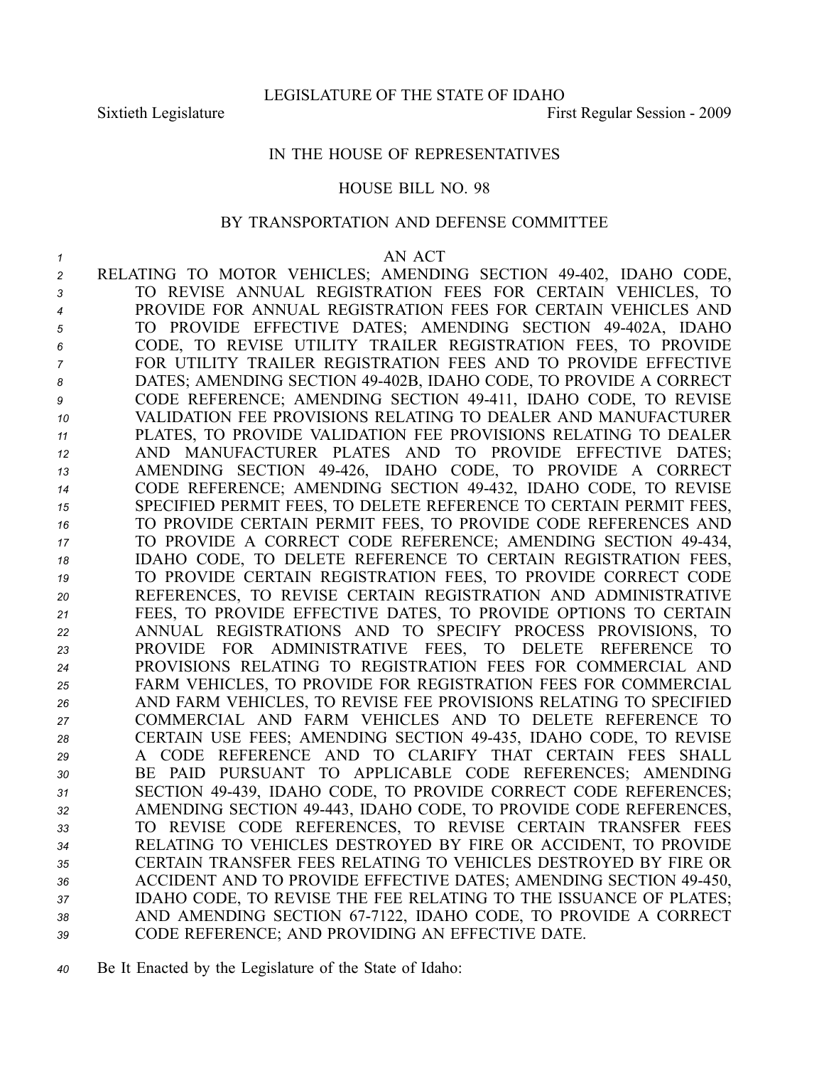## IN THE HOUSE OF REPRESENTATIVES

## HOUSE BILL NO. 98

## BY TRANSPORTATION AND DEFENSE COMMITTEE

## *1* AN ACT

 RELATING TO MOTOR VEHICLES; AMENDING SECTION 49402, IDAHO CODE, TO REVISE ANNUAL REGISTRATION FEES FOR CERTAIN VEHICLES, TO PROVIDE FOR ANNUAL REGISTRATION FEES FOR CERTAIN VEHICLES AND TO PROVIDE EFFECTIVE DATES; AMENDING SECTION 49402A, IDAHO CODE, TO REVISE UTILITY TRAILER REGISTRATION FEES, TO PROVIDE FOR UTILITY TRAILER REGISTRATION FEES AND TO PROVIDE EFFECTIVE 8 DATES; AMENDING SECTION 49-402B, IDAHO CODE, TO PROVIDE A CORRECT **P** CODE REFERENCE; AMENDING SECTION 49-411, IDAHO CODE, TO REVISE VALIDATION FEE PROVISIONS RELATING TO DEALER AND MANUFACTURER PLATES, TO PROVIDE VALIDATION FEE PROVISIONS RELATING TO DEALER AND MANUFACTURER PLATES AND TO PROVIDE EFFECTIVE DATES; AMENDING SECTION 49426, IDAHO CODE, TO PROVIDE A CORRECT 14 CODE REFERENCE; AMENDING SECTION 49-432, IDAHO CODE, TO REVISE SPECIFIED PERMIT FEES, TO DELETE REFERENCE TO CERTAIN PERMIT FEES, TO PROVIDE CERTAIN PERMIT FEES, TO PROVIDE CODE REFERENCES AND TO PROVIDE A CORRECT CODE REFERENCE; AMENDING SECTION 49434, IDAHO CODE, TO DELETE REFERENCE TO CERTAIN REGISTRATION FEES, TO PROVIDE CERTAIN REGISTRATION FEES, TO PROVIDE CORRECT CODE REFERENCES, TO REVISE CERTAIN REGISTRATION AND ADMINISTRATIVE FEES, TO PROVIDE EFFECTIVE DATES, TO PROVIDE OPTIONS TO CERTAIN ANNUAL REGISTRATIONS AND TO SPECIFY PROCESS PROVISIONS, TO PROVIDE FOR ADMINISTRATIVE FEES, TO DELETE REFERENCE TO PROVISIONS RELATING TO REGISTRATION FEES FOR COMMERCIAL AND FARM VEHICLES, TO PROVIDE FOR REGISTRATION FEES FOR COMMERCIAL AND FARM VEHICLES, TO REVISE FEE PROVISIONS RELATING TO SPECIFIED COMMERCIAL AND FARM VEHICLES AND TO DELETE REFERENCE TO CERTAIN USE FEES; AMENDING SECTION 49435, IDAHO CODE, TO REVISE A CODE REFERENCE AND TO CLARIFY THAT CERTAIN FEES SHALL BE PAID PURSUANT TO APPLICABLE CODE REFERENCES; AMENDING SECTION 49439, IDAHO CODE, TO PROVIDE CORRECT CODE REFERENCES; AMENDING SECTION 49443, IDAHO CODE, TO PROVIDE CODE REFERENCES, TO REVISE CODE REFERENCES, TO REVISE CERTAIN TRANSFER FEES RELATING TO VEHICLES DESTROYED BY FIRE OR ACCIDENT, TO PROVIDE CERTAIN TRANSFER FEES RELATING TO VEHICLES DESTROYED BY FIRE OR ACCIDENT AND TO PROVIDE EFFECTIVE DATES; AMENDING SECTION 49450, IDAHO CODE, TO REVISE THE FEE RELATING TO THE ISSUANCE OF PLATES; 38 AND AMENDING SECTION 67-7122, IDAHO CODE, TO PROVIDE A CORRECT CODE REFERENCE; AND PROVIDING AN EFFECTIVE DATE.

*<sup>40</sup>* Be It Enacted by the Legislature of the State of Idaho: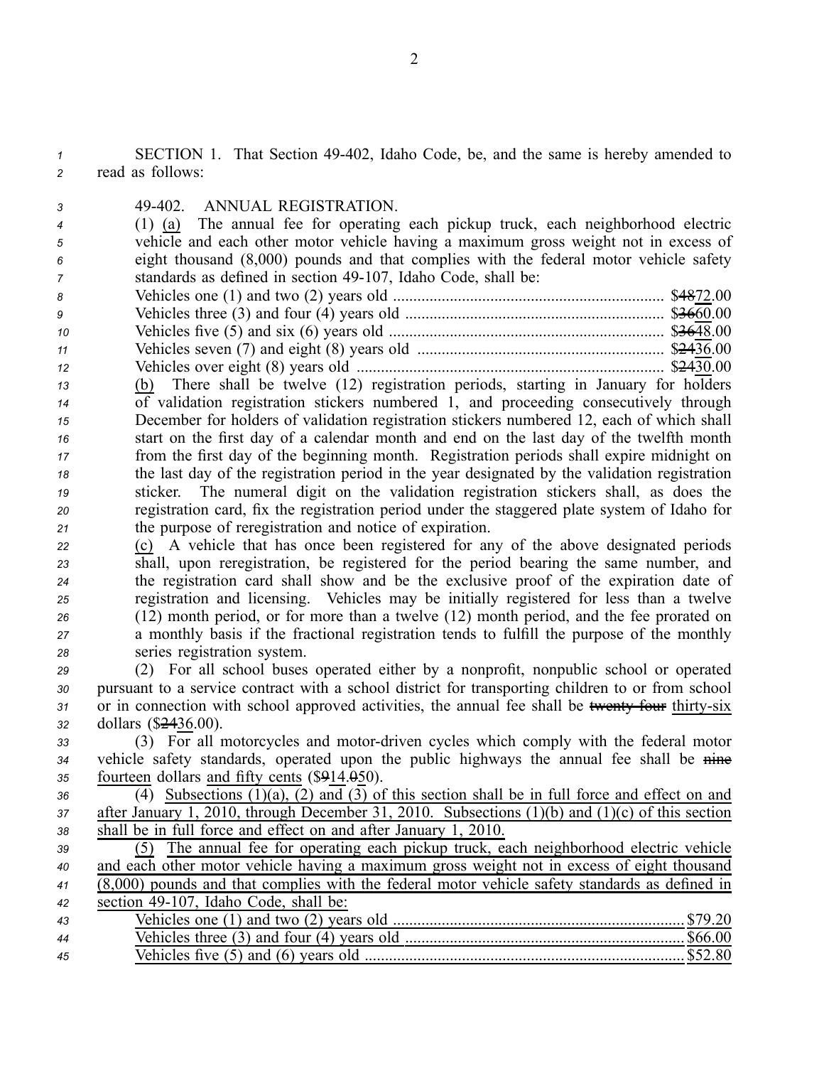*<sup>1</sup>* SECTION 1. That Section 49402, Idaho Code, be, and the same is hereby amended to *<sup>2</sup>* read as follows:

*3* 49402. ANNUAL REGISTRATION.

 (1) (a) The annual fee for operating each pickup truck, each neighborhood electric vehicle and each other motor vehicle having <sup>a</sup> maximum gross weight not in excess of eight thousand (8,000) pounds and that complies with the federal motor vehicle safety standards as defined in section 49-107, Idaho Code, shall be:

| -8 |  |
|----|--|
| 9  |  |
| 10 |  |
| 11 |  |
| 12 |  |

 (b) There shall be twelve (12) registration periods, starting in January for holders of validation registration stickers numbered 1, and proceeding consecutively through December for holders of validation registration stickers numbered 12, each of which shall start on the first day of <sup>a</sup> calendar month and end on the last day of the twelfth month from the first day of the beginning month. Registration periods shall expire midnight on the last day of the registration period in the year designated by the validation registration sticker. The numeral digit on the validation registration stickers shall, as does the registration card, fix the registration period under the staggered plate system of Idaho for the purpose of reregistration and notice of expiration.

 (c) A vehicle that has once been registered for any of the above designated periods shall, upon reregistration, be registered for the period bearing the same number, and the registration card shall show and be the exclusive proof of the expiration date of registration and licensing. Vehicles may be initially registered for less than <sup>a</sup> twelve (12) month period, or for more than <sup>a</sup> twelve (12) month period, and the fee prorated on <sup>a</sup> monthly basis if the fractional registration tends to fulfill the purpose of the monthly series registration system.

 (2) For all school buses operated either by <sup>a</sup> nonprofit, nonpublic school or operated pursuan<sup>t</sup> to <sup>a</sup> service contract with <sup>a</sup> school district for transporting children to or from school 31 or in connection with school approved activities, the annual fee shall be twenty four thirty-six dollars (\$2436.00).

 $33$  (3) For all motorcycles and motor-driven cycles which comply with the federal motor *<sup>34</sup>* vehicle safety standards, operated upon the public highways the annual fee shall be nine *<sup>35</sup>* fourteen dollars and fifty cents (\$914.050).

 $36$  (4) Subsections  $(1)(a)$ ,  $(2)$  and  $(3)$  of this section shall be in full force and effect on and *<sup>37</sup>* after January 1, 2010, through December 31, 2010. Subsections (1)(b) and (1)(c) of this section *<sup>38</sup>* shall be in full force and effect on and after January 1, 2010.

 (5) The annual fee for operating each pickup truck, each neighborhood electric vehicle and each other motor vehicle having <sup>a</sup> maximum gross weight not in excess of eight thousand (8,000) pounds and that complies with the federal motor vehicle safety standards as defined in section 49107, Idaho Code, shall be: Vehicles one (1) and two (2) years old ........................................................................ \$79.20 Vehicles three (3) and four (4) years old ..................................................................... \$66.00 Vehicles five (5) and (6) years old ............................................................................... \$52.80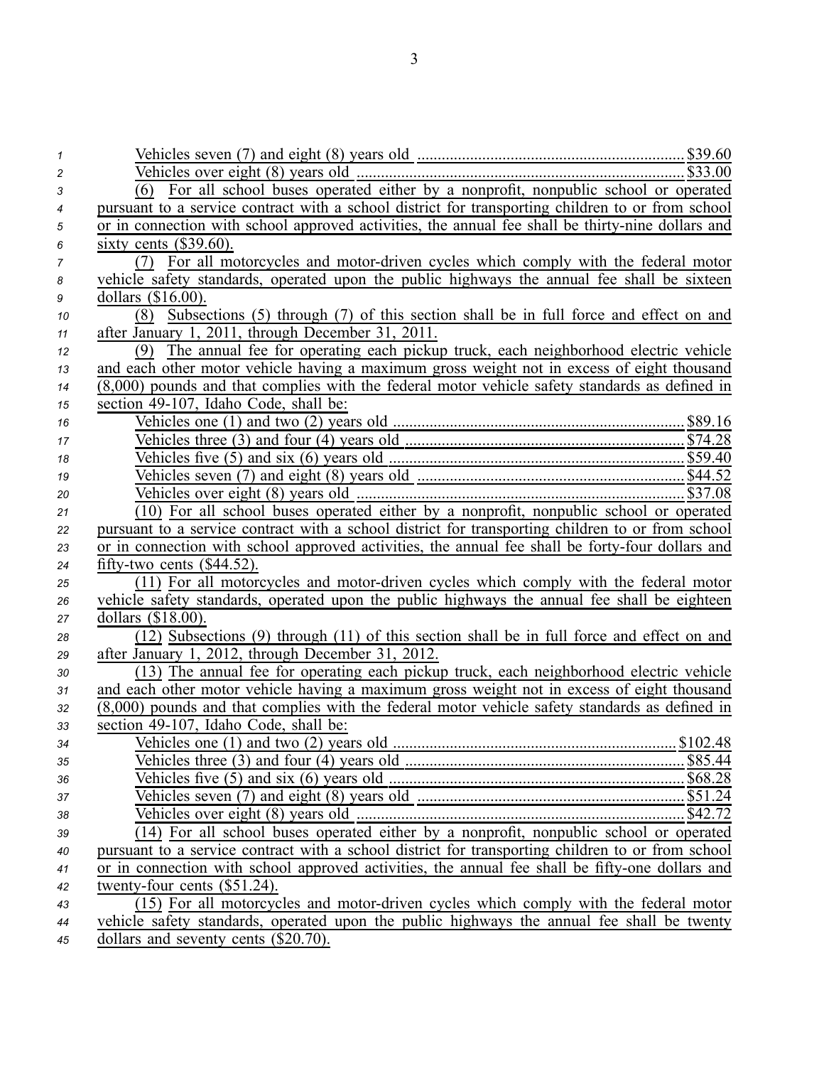| $\mathcal I$ |                                                                                                          |
|--------------|----------------------------------------------------------------------------------------------------------|
| 2            |                                                                                                          |
| 3            | For all school buses operated either by a nonprofit, nonpublic school or operated<br>(6)                 |
| 4            | pursuant to a service contract with a school district for transporting children to or from school        |
| 5            | or in connection with school approved activities, the annual fee shall be thirty-nine dollars and        |
| 6            | sixty cents $(\$39.60)$ .                                                                                |
| 7            | (7) For all motorcycles and motor-driven cycles which comply with the federal motor                      |
| 8            | vehicle safety standards, operated upon the public highways the annual fee shall be sixteen              |
| 9            | dollars $(\$16.00)$ .                                                                                    |
| 10           | (8) Subsections (5) through (7) of this section shall be in full force and effect on and                 |
| 11           | after January 1, 2011, through December 31, 2011.                                                        |
| 12           | (9) The annual fee for operating each pickup truck, each neighborhood electric vehicle                   |
| 13           | and each other motor vehicle having a maximum gross weight not in excess of eight thousand               |
| 14           | $(8,000)$ pounds and that complies with the federal motor vehicle safety standards as defined in         |
| 15           | section 49-107, Idaho Code, shall be:                                                                    |
| 16           |                                                                                                          |
| 17           | Vehicles one (1) and two (2) years old $\frac{$89.16}{\text{Vehicles three (3) and four (4) years old}}$ |
| 18           |                                                                                                          |
| 19           |                                                                                                          |
| 20           | Vehicles over eight $(8)$ years old $\overline{\phantom{0}}$ years old $\overline{\phantom{0}}$          |
| 21           | $(10)$ For all school buses operated either by a nonprofit, nonpublic school or operated                 |
| 22           | pursuant to a service contract with a school district for transporting children to or from school        |
| 23           | or in connection with school approved activities, the annual fee shall be forty-four dollars and         |
| 24           | fifty-two cents $(\$44.52)$ .                                                                            |
| 25           | (11) For all motorcycles and motor-driven cycles which comply with the federal motor                     |
| 26           | vehicle safety standards, operated upon the public highways the annual fee shall be eighteen             |
| 27           | dollars (\$18.00).                                                                                       |
| 28           | (12) Subsections (9) through (11) of this section shall be in full force and effect on and               |
| 29           | after January 1, 2012, through December 31, 2012.                                                        |
| 30           | (13) The annual fee for operating each pickup truck, each neighborhood electric vehicle                  |
| 31           | and each other motor vehicle having a maximum gross weight not in excess of eight thousand               |
| 32           | $(8,000)$ pounds and that complies with the federal motor vehicle safety standards as defined in         |
| 33           | section 49-107, Idaho Code, shall be:                                                                    |
| 34           | Vehicles one (1) and two (2) years old<br>\$102.48                                                       |
| 35           |                                                                                                          |
| 36           |                                                                                                          |
| 37           |                                                                                                          |
| 38           |                                                                                                          |
| 39           | (14) For all school buses operated either by a nonprofit, nonpublic school or operated                   |
| 40           | pursuant to a service contract with a school district for transporting children to or from school        |
| 41           | or in connection with school approved activities, the annual fee shall be fifty-one dollars and          |
| 42           | twenty-four cents (\$51.24).                                                                             |
| 43           | (15) For all motorcycles and motor-driven cycles which comply with the federal motor                     |
| 44           | vehicle safety standards, operated upon the public highways the annual fee shall be twenty               |
| 45           | dollars and seventy cents (\$20.70).                                                                     |

3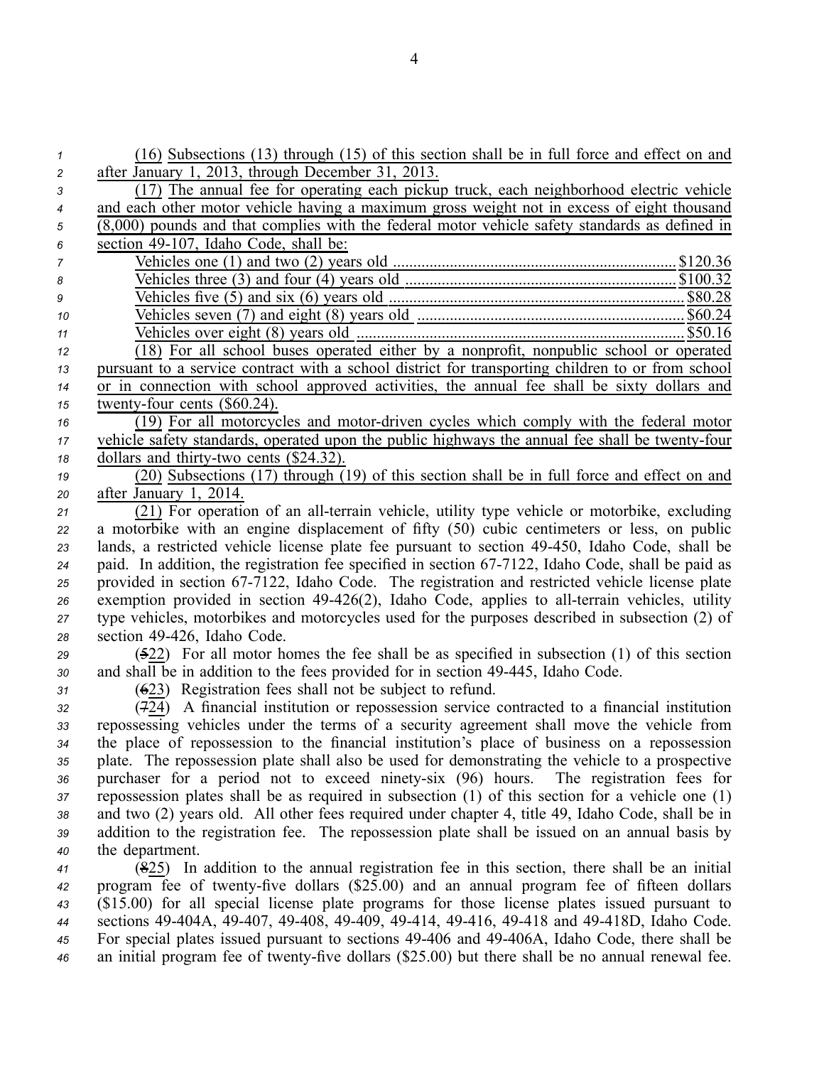| $\mathbf{1}$   | (16) Subsections (13) through (15) of this section shall be in full force and effect on and                                                                                                                                                                                                                              |
|----------------|--------------------------------------------------------------------------------------------------------------------------------------------------------------------------------------------------------------------------------------------------------------------------------------------------------------------------|
| 2              | after January 1, 2013, through December 31, 2013.                                                                                                                                                                                                                                                                        |
| 3              | (17) The annual fee for operating each pickup truck, each neighborhood electric vehicle                                                                                                                                                                                                                                  |
| 4              | and each other motor vehicle having a maximum gross weight not in excess of eight thousand                                                                                                                                                                                                                               |
| 5              | $(8,000)$ pounds and that complies with the federal motor vehicle safety standards as defined in                                                                                                                                                                                                                         |
| 6              | section 49-107, Idaho Code, shall be:                                                                                                                                                                                                                                                                                    |
| $\overline{7}$ | Vehicles one (1) and two (2) years old $\ldots$ $\ldots$ $\ldots$ $\ldots$ $\ldots$ $\ldots$ $\ldots$ $\ldots$ $\ldots$ $\ldots$ $\ldots$ $\ldots$ $\ldots$ $\ldots$ $\ldots$ $\ldots$ $\ldots$ $\ldots$ $\ldots$ $\ldots$ $\ldots$ $\ldots$ $\ldots$ $\ldots$ $\ldots$ $\ldots$ $\ldots$ $\ldots$ $\ldots$ $\ldots$ $\$ |
| 8              |                                                                                                                                                                                                                                                                                                                          |
| 9              |                                                                                                                                                                                                                                                                                                                          |
| 10             |                                                                                                                                                                                                                                                                                                                          |
| 11             |                                                                                                                                                                                                                                                                                                                          |
| 12             | (18) For all school buses operated either by a nonprofit, nonpublic school or operated                                                                                                                                                                                                                                   |
| 13             | pursuant to a service contract with a school district for transporting children to or from school                                                                                                                                                                                                                        |
| 14             | or in connection with school approved activities, the annual fee shall be sixty dollars and                                                                                                                                                                                                                              |
| 15             | twenty-four cents $(\$60.24)$ .                                                                                                                                                                                                                                                                                          |
| 16             | (19) For all motorcycles and motor-driven cycles which comply with the federal motor                                                                                                                                                                                                                                     |
| 17             | vehicle safety standards, operated upon the public highways the annual fee shall be twenty-four                                                                                                                                                                                                                          |
| 18             | dollars and thirty-two cents (\$24.32).                                                                                                                                                                                                                                                                                  |
| 19             | (20) Subsections (17) through (19) of this section shall be in full force and effect on and                                                                                                                                                                                                                              |
| 20             | after January 1, 2014.                                                                                                                                                                                                                                                                                                   |
| 21             | (21) For operation of an all-terrain vehicle, utility type vehicle or motorbike, excluding                                                                                                                                                                                                                               |
| 22             | a motorbike with an engine displacement of fifty (50) cubic centimeters or less, on public                                                                                                                                                                                                                               |
| 23             | lands, a restricted vehicle license plate fee pursuant to section 49-450, Idaho Code, shall be                                                                                                                                                                                                                           |
| 24             | paid. In addition, the registration fee specified in section 67-7122, Idaho Code, shall be paid as                                                                                                                                                                                                                       |
| 25             | provided in section 67-7122, Idaho Code. The registration and restricted vehicle license plate                                                                                                                                                                                                                           |
| 26             | exemption provided in section 49-426(2), Idaho Code, applies to all-terrain vehicles, utility                                                                                                                                                                                                                            |
| 27             | type vehicles, motorbikes and motorcycles used for the purposes described in subsection (2) of                                                                                                                                                                                                                           |
| 28             | section 49-426, Idaho Code.                                                                                                                                                                                                                                                                                              |
| 29             | $(522)$ For all motor homes the fee shall be as specified in subsection (1) of this section                                                                                                                                                                                                                              |
| 30             | and shall be in addition to the fees provided for in section 49-445, Idaho Code.                                                                                                                                                                                                                                         |
| 31             | $(623)$ Registration fees shall not be subject to refund.                                                                                                                                                                                                                                                                |
| 32             | (724) A financial institution or repossession service contracted to a financial institution                                                                                                                                                                                                                              |
| 33             | repossessing vehicles under the terms of a security agreement shall move the vehicle from                                                                                                                                                                                                                                |
| 34             | the place of repossession to the financial institution's place of business on a repossession                                                                                                                                                                                                                             |
| 35             | plate. The repossession plate shall also be used for demonstrating the vehicle to a prospective                                                                                                                                                                                                                          |
| 36             | purchaser for a period not to exceed ninety-six (96) hours.<br>The registration fees for                                                                                                                                                                                                                                 |
| 37             | repossession plates shall be as required in subsection $(1)$ of this section for a vehicle one $(1)$                                                                                                                                                                                                                     |
| 38             | and two (2) years old. All other fees required under chapter 4, title 49, Idaho Code, shall be in                                                                                                                                                                                                                        |
| 39             | addition to the registration fee. The repossession plate shall be issued on an annual basis by                                                                                                                                                                                                                           |
| 40             | the department.                                                                                                                                                                                                                                                                                                          |
| 41             | $(825)$ In addition to the annual registration fee in this section, there shall be an initial                                                                                                                                                                                                                            |
| 42             | program fee of twenty-five dollars (\$25.00) and an annual program fee of fifteen dollars                                                                                                                                                                                                                                |
| 43             | (\$15.00) for all special license plate programs for those license plates issued pursuant to                                                                                                                                                                                                                             |
| 44             | sections 49-404A, 49-407, 49-408, 49-409, 49-414, 49-416, 49-418 and 49-418D, Idaho Code.                                                                                                                                                                                                                                |
| 45             | For special plates issued pursuant to sections 49-406 and 49-406A, Idaho Code, there shall be                                                                                                                                                                                                                            |
| 46             | an initial program fee of twenty-five dollars (\$25.00) but there shall be no annual renewal fee.                                                                                                                                                                                                                        |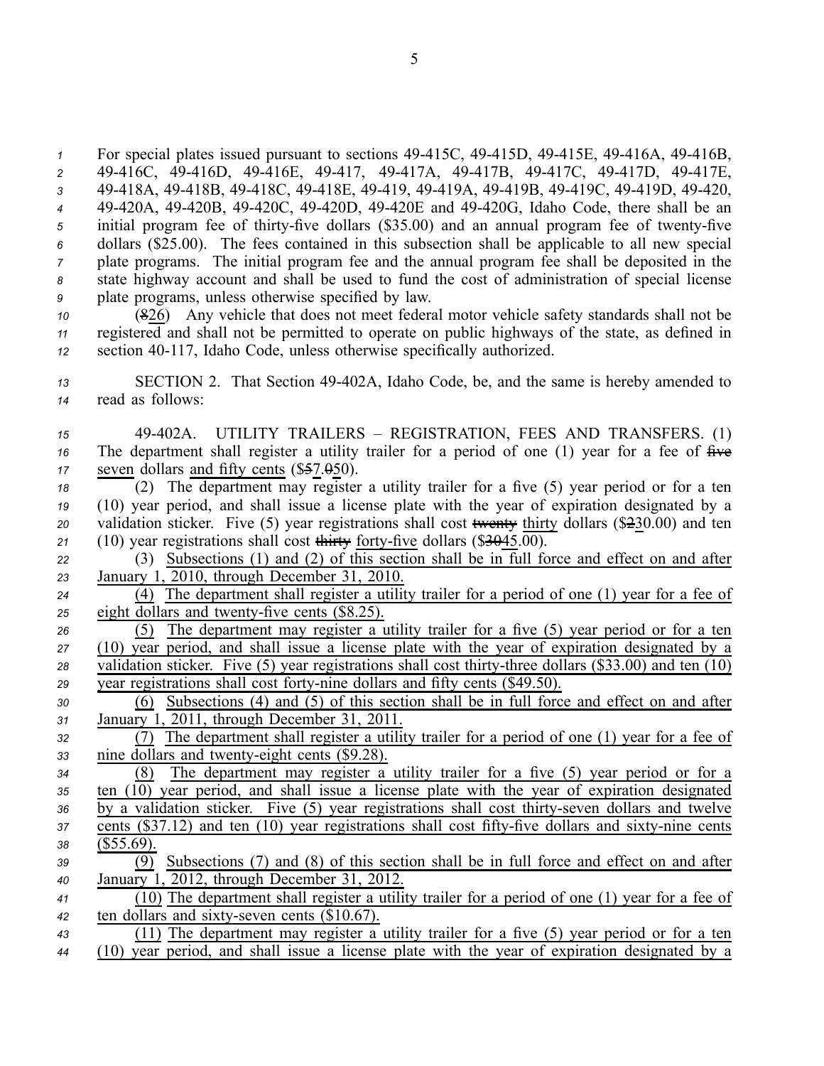For special plates issued pursuant to sections 49-415C, 49-415D, 49-415E, 49-416A, 49-416B, 49416C, 49416D, 49416E, 49417, 49417A, 49417B, 49417C, 49417D, 49417E, 49418A, 49418B, 49418C, 49418E, 49419, 49419A, 49419B, 49419C, 49419D, 49420, 49420A, 49420B, 49420C, 49420D, 49420E and 49420G, Idaho Code, there shall be an 5 initial program fee of thirty-five dollars (\$35.00) and an annual program fee of twenty-five dollars (\$25.00). The fees contained in this subsection shall be applicable to all new special plate programs. The initial program fee and the annual program fee shall be deposited in the state highway account and shall be used to fund the cost of administration of special license plate programs, unless otherwise specified by law.

*<sup>10</sup>* (826) Any vehicle that does not meet federal motor vehicle safety standards shall not be *<sup>11</sup>* registered and shall not be permitted to operate on public highways of the state, as defined in 12 section 40-117, Idaho Code, unless otherwise specifically authorized.

*<sup>13</sup>* SECTION 2. That Section 49402A, Idaho Code, be, and the same is hereby amended to *<sup>14</sup>* read as follows:

*<sup>15</sup>* 49402A. UTILITY TRAILERS – REGISTRATION, FEES AND TRANSFERS. (1) 16 The department shall register a utility trailer for a period of one (1) year for a fee of  $\overline{f}$ 17 seven dollars and fifty cents (\$57.050).

 (2) The department may register <sup>a</sup> utility trailer for <sup>a</sup> five (5) year period or for <sup>a</sup> ten (10) year period, and shall issue <sup>a</sup> license plate with the year of expiration designated by <sup>a</sup> validation sticker. Five (5) year registrations shall cost twenty thirty dollars (\$230.00) and ten 21 (10) year registrations shall cost thirty forty-five dollars  $(\frac{$3045.00}{9})$ .

*<sup>22</sup>* (3) Subsections (1) and (2) of this section shall be in full force and effect on and after *<sup>23</sup>* January 1, 2010, through December 31, 2010.

*<sup>24</sup>* (4) The department shall register <sup>a</sup> utility trailer for <sup>a</sup> period of one (1) year for <sup>a</sup> fee of 25 eight dollars and twenty-five cents (\$8.25).

 (5) The department may register <sup>a</sup> utility trailer for <sup>a</sup> five (5) year period or for <sup>a</sup> ten (10) year period, and shall issue <sup>a</sup> license plate with the year of expiration designated by <sup>a</sup> validation sticker. Five (5) year registrations shall cost thirty-three dollars (\$33.00) and ten (10) year registrations shall cost forty-nine dollars and fifty cents (\$49.50).

*<sup>30</sup>* (6) Subsections (4) and (5) of this section shall be in full force and effect on and after *<sup>31</sup>* January 1, 2011, through December 31, 2011.

*<sup>32</sup>* (7) The department shall register <sup>a</sup> utility trailer for <sup>a</sup> period of one (1) year for <sup>a</sup> fee of 33 nine dollars and twenty-eight cents (\$9.28).

 (8) The department may register <sup>a</sup> utility trailer for <sup>a</sup> five (5) year period or for <sup>a</sup> ten  $(10)$  year period, and shall issue a license plate with the year of expiration designated 36 by a validation sticker. Five (5) year registrations shall cost thirty-seven dollars and twelve cents (\$37.12) and ten (10) year registrations shall cost fifty-five dollars and sixty-nine cents (\$55.69).

*<sup>39</sup>* (9) Subsections (7) and (8) of this section shall be in full force and effect on and after *<sup>40</sup>* January 1, 2012, through December 31, 2012.

*<sup>41</sup>* (10) The department shall register <sup>a</sup> utility trailer for <sup>a</sup> period of one (1) year for <sup>a</sup> fee of *42* ten dollars and sixty-seven cents (\$10.67).

*<sup>43</sup>* (11) The department may register <sup>a</sup> utility trailer for <sup>a</sup> five (5) year period or for <sup>a</sup> ten *<sup>44</sup>* (10) year period, and shall issue <sup>a</sup> license plate with the year of expiration designated by <sup>a</sup>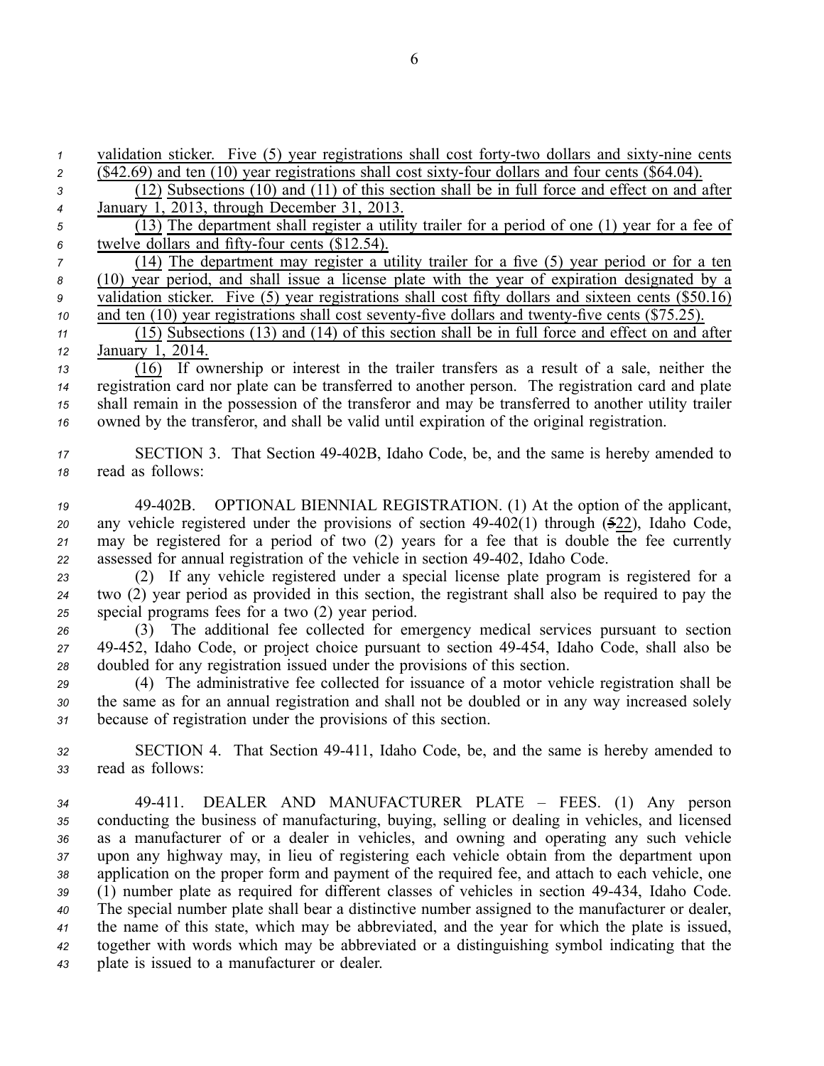validation sticker. Five (5) year registrations shall cost forty-two dollars and sixty-nine cents  $\overline{342.69}$  and ten (10) year registrations shall cost sixty-four dollars and four cents  $(\$64.04)$ . (12) Subsections (10) and (11) of this section shall be in full force and effect on and after January 1, 2013, through December 31, 2013. (14) The department may register <sup>a</sup> utility trailer for <sup>a</sup> five (5) year period or for <sup>a</sup> ten (10) year period, and shall issue <sup>a</sup> license plate with the year of expiration designated by <sup>a</sup> validation sticker. Five (5) year registrations shall cost fifty dollars and sixteen cents (\$50.16) and ten (10) year registrations shall cost seventy-five dollars and twenty-five cents (\$75.25). (15) Subsections (13) and (14) of this section shall be in full force and effect on and after January 1, 2014. (16) If ownership or interest in the trailer transfers as <sup>a</sup> result of <sup>a</sup> sale, neither the registration card nor plate can be transferred to another person. The registration card and plate shall remain in the possession of the transferor and may be transferred to another utility trailer owned by the transferor, and shall be valid until expiration of the original registration. SECTION 3. That Section 49402B, Idaho Code, be, and the same is hereby amended to read as follows: 49402B. OPTIONAL BIENNIAL REGISTRATION. (1) At the option of the applicant, any vehicle registered under the provisions of section 49-402(1) through (522), Idaho Code, may be registered for <sup>a</sup> period of two (2) years for <sup>a</sup> fee that is double the fee currently

*<sup>22</sup>* assessed for annual registration of the vehicle in section 49402, Idaho Code. *<sup>23</sup>* (2) If any vehicle registered under <sup>a</sup> special license plate program is registered for <sup>a</sup>

*<sup>24</sup>* two (2) year period as provided in this section, the registrant shall also be required to pay the *<sup>25</sup>* special programs fees for <sup>a</sup> two (2) year period.

*<sup>26</sup>* (3) The additional fee collected for emergency medical services pursuan<sup>t</sup> to section *<sup>27</sup>* 49452, Idaho Code, or project choice pursuan<sup>t</sup> to section 49454, Idaho Code, shall also be *<sup>28</sup>* doubled for any registration issued under the provisions of this section.

*<sup>29</sup>* (4) The administrative fee collected for issuance of <sup>a</sup> motor vehicle registration shall be *<sup>30</sup>* the same as for an annual registration and shall not be doubled or in any way increased solely *<sup>31</sup>* because of registration under the provisions of this section.

*<sup>32</sup>* SECTION 4. That Section 49411, Idaho Code, be, and the same is hereby amended to *<sup>33</sup>* read as follows:

 49411. DEALER AND MANUFACTURER PLATE – FEES. (1) Any person conducting the business of manufacturing, buying, selling or dealing in vehicles, and licensed as <sup>a</sup> manufacturer of or <sup>a</sup> dealer in vehicles, and owning and operating any such vehicle upon any highway may, in lieu of registering each vehicle obtain from the department upon application on the proper form and paymen<sup>t</sup> of the required fee, and attach to each vehicle, one (1) number plate as required for different classes of vehicles in section 49434, Idaho Code. The special number plate shall bear <sup>a</sup> distinctive number assigned to the manufacturer or dealer, the name of this state, which may be abbreviated, and the year for which the plate is issued, together with words which may be abbreviated or <sup>a</sup> distinguishing symbol indicating that the plate is issued to <sup>a</sup> manufacturer or dealer.

- *<sup>5</sup>* (13) The department shall register <sup>a</sup> utility trailer for <sup>a</sup> period of one (1) year for <sup>a</sup> fee of 6 twelve dollars and fifty-four cents (\$12.54).
-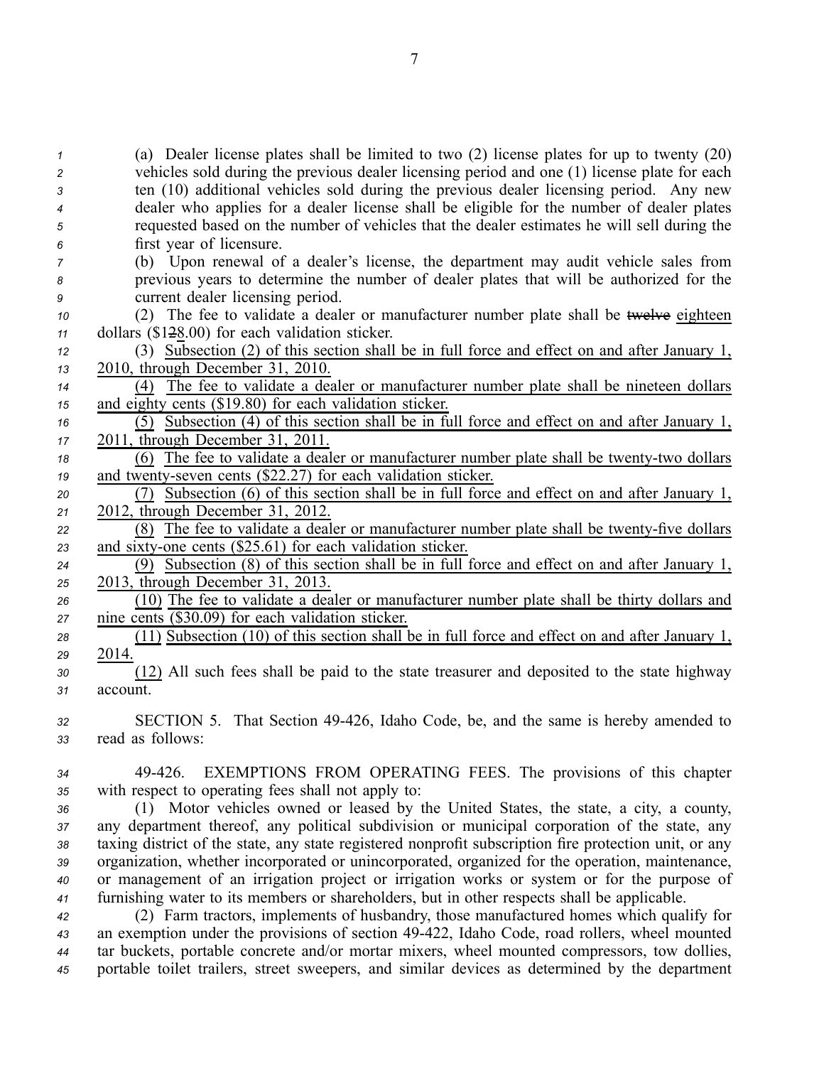(a) Dealer license plates shall be limited to two (2) license plates for up to twenty (20) vehicles sold during the previous dealer licensing period and one (1) license plate for each ten (10) additional vehicles sold during the previous dealer licensing period. Any new dealer who applies for <sup>a</sup> dealer license shall be eligible for the number of dealer plates requested based on the number of vehicles that the dealer estimates he will sell during the first year of licensure.

- *<sup>7</sup>* (b) Upon renewal of <sup>a</sup> dealer's license, the department may audit vehicle sales from *<sup>8</sup>* previous years to determine the number of dealer plates that will be authorized for the *<sup>9</sup>* current dealer licensing period.
- *<sup>10</sup>* (2) The fee to validate <sup>a</sup> dealer or manufacturer number plate shall be twelve eighteen *<sup>11</sup>* dollars (\$128.00) for each validation sticker.

*<sup>12</sup>* (3) Subsection (2) of this section shall be in full force and effect on and after January 1, *<sup>13</sup>* 2010, through December 31, 2010.

*<sup>14</sup>* (4) The fee to validate <sup>a</sup> dealer or manufacturer number plate shall be nineteen dollars *<sup>15</sup>* and eighty cents (\$19.80) for each validation sticker.

- *<sup>16</sup>* (5) Subsection (4) of this section shall be in full force and effect on and after January 1, *<sup>17</sup>* 2011, through December 31, 2011.
- *18* (6) The fee to validate a dealer or manufacturer number plate shall be twenty-two dollars 19 and twenty-seven cents (\$22.27) for each validation sticker.
- *<sup>20</sup>* (7) Subsection (6) of this section shall be in full force and effect on and after January 1, *<sup>21</sup>* 2012, through December 31, 2012.

22 (8) The fee to validate a dealer or manufacturer number plate shall be twenty-five dollars 23 and sixty-one cents (\$25.61) for each validation sticker.

*<sup>24</sup>* (9) Subsection (8) of this section shall be in full force and effect on and after January 1, *<sup>25</sup>* 2013, through December 31, 2013.

*<sup>26</sup>* (10) The fee to validate <sup>a</sup> dealer or manufacturer number plate shall be thirty dollars and *<sup>27</sup>* nine cents (\$30.09) for each validation sticker.

*<sup>28</sup>* (11) Subsection (10) of this section shall be in full force and effect on and after January 1, *29* 2014.

*<sup>30</sup>* (12) All such fees shall be paid to the state treasurer and deposited to the state highway *31* account.

*<sup>32</sup>* SECTION 5. That Section 49426, Idaho Code, be, and the same is hereby amended to *<sup>33</sup>* read as follows:

*<sup>34</sup>* 49426. EXEMPTIONS FROM OPERATING FEES. The provisions of this chapter *<sup>35</sup>* with respec<sup>t</sup> to operating fees shall not apply to:

 (1) Motor vehicles owned or leased by the United States, the state, <sup>a</sup> city, <sup>a</sup> county, any department thereof, any political subdivision or municipal corporation of the state, any taxing district of the state, any state registered nonprofit subscription fire protection unit, or any organization, whether incorporated or unincorporated, organized for the operation, maintenance, or managemen<sup>t</sup> of an irrigation project or irrigation works or system or for the purpose of furnishing water to its members or shareholders, but in other respects shall be applicable.

 (2) Farm tractors, implements of husbandry, those manufactured homes which qualify for an exemption under the provisions of section 49422, Idaho Code, road rollers, wheel mounted tar buckets, portable concrete and/or mortar mixers, wheel mounted compressors, tow dollies, portable toilet trailers, street sweepers, and similar devices as determined by the department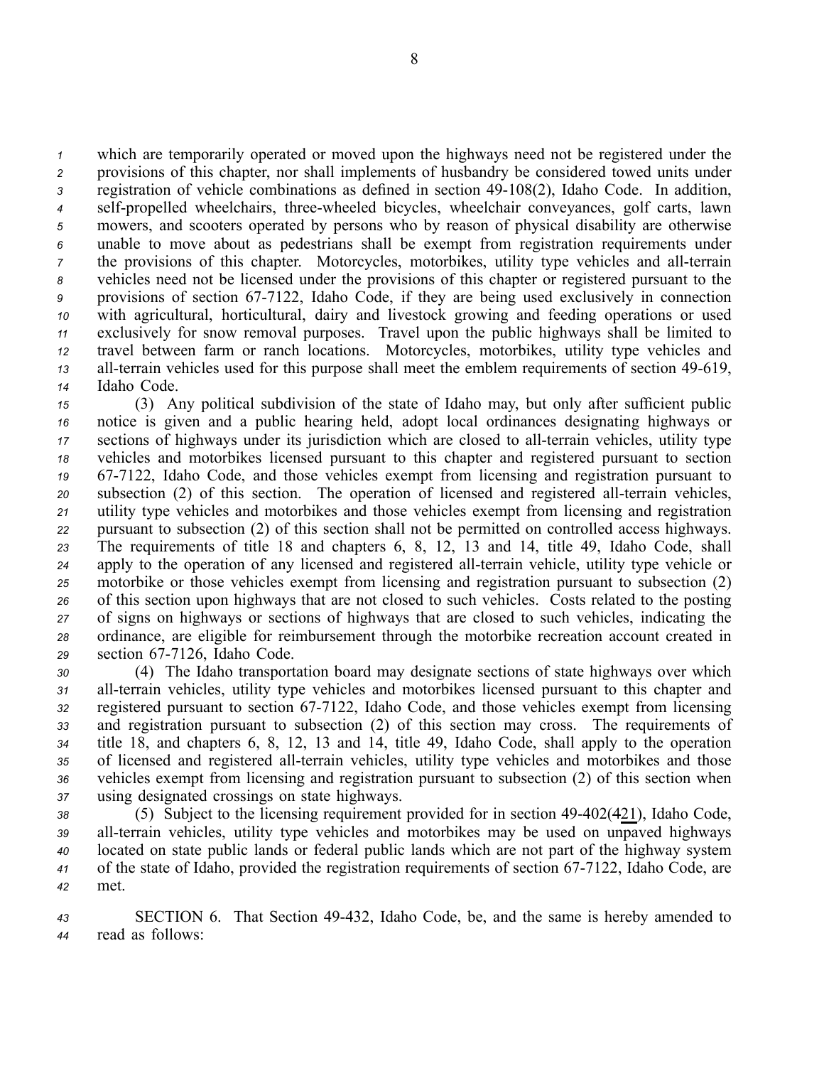which are temporarily operated or moved upon the highways need not be registered under the provisions of this chapter, nor shall implements of husbandry be considered towed units under registration of vehicle combinations as defined in section 49-108(2), Idaho Code. In addition, <sup>4</sup> self-propelled wheelchairs, three-wheeled bicycles, wheelchair conveyances, golf carts, lawn mowers, and scooters operated by persons who by reason of physical disability are otherwise unable to move about as pedestrians shall be exemp<sup>t</sup> from registration requirements under the provisions of this chapter. Motorcycles, motorbikes, utility type vehicles and all-terrain vehicles need not be licensed under the provisions of this chapter or registered pursuan<sup>t</sup> to the provisions of section 677122, Idaho Code, if they are being used exclusively in connection with agricultural, horticultural, dairy and livestock growing and feeding operations or used exclusively for snow removal purposes. Travel upon the public highways shall be limited to travel between farm or ranch locations. Motorcycles, motorbikes, utility type vehicles and all-terrain vehicles used for this purpose shall meet the emblem requirements of section 49-619, Idaho Code.

 (3) Any political subdivision of the state of Idaho may, but only after sufficient public notice is given and <sup>a</sup> public hearing held, adopt local ordinances designating highways or sections of highways under its jurisdiction which are closed to all-terrain vehicles, utility type vehicles and motorbikes licensed pursuan<sup>t</sup> to this chapter and registered pursuan<sup>t</sup> to section 677122, Idaho Code, and those vehicles exemp<sup>t</sup> from licensing and registration pursuan<sup>t</sup> to subsection (2) of this section. The operation of licensed and registered all-terrain vehicles, utility type vehicles and motorbikes and those vehicles exemp<sup>t</sup> from licensing and registration pursuan<sup>t</sup> to subsection (2) of this section shall not be permitted on controlled access highways. The requirements of title 18 and chapters 6, 8, 12, 13 and 14, title 49, Idaho Code, shall 24 apply to the operation of any licensed and registered all-terrain vehicle, utility type vehicle or motorbike or those vehicles exemp<sup>t</sup> from licensing and registration pursuan<sup>t</sup> to subsection (2) of this section upon highways that are not closed to such vehicles. Costs related to the posting of signs on highways or sections of highways that are closed to such vehicles, indicating the ordinance, are eligible for reimbursement through the motorbike recreation account created in 29 section 67-7126, Idaho Code.

 (4) The Idaho transportation board may designate sections of state highways over which allterrain vehicles, utility type vehicles and motorbikes licensed pursuan<sup>t</sup> to this chapter and registered pursuan<sup>t</sup> to section 677122, Idaho Code, and those vehicles exemp<sup>t</sup> from licensing and registration pursuan<sup>t</sup> to subsection (2) of this section may cross. The requirements of title 18, and chapters 6, 8, 12, 13 and 14, title 49, Idaho Code, shall apply to the operation 35 of licensed and registered all-terrain vehicles, utility type vehicles and motorbikes and those vehicles exemp<sup>t</sup> from licensing and registration pursuan<sup>t</sup> to subsection (2) of this section when using designated crossings on state highways.

38 (5) Subject to the licensing requirement provided for in section 49-402(421), Idaho Code, 39 all-terrain vehicles, utility type vehicles and motorbikes may be used on unpaved highways *<sup>40</sup>* located on state public lands or federal public lands which are not par<sup>t</sup> of the highway system *<sup>41</sup>* of the state of Idaho, provided the registration requirements of section 677122, Idaho Code, are *42* met.

*<sup>43</sup>* SECTION 6. That Section 49432, Idaho Code, be, and the same is hereby amended to *<sup>44</sup>* read as follows: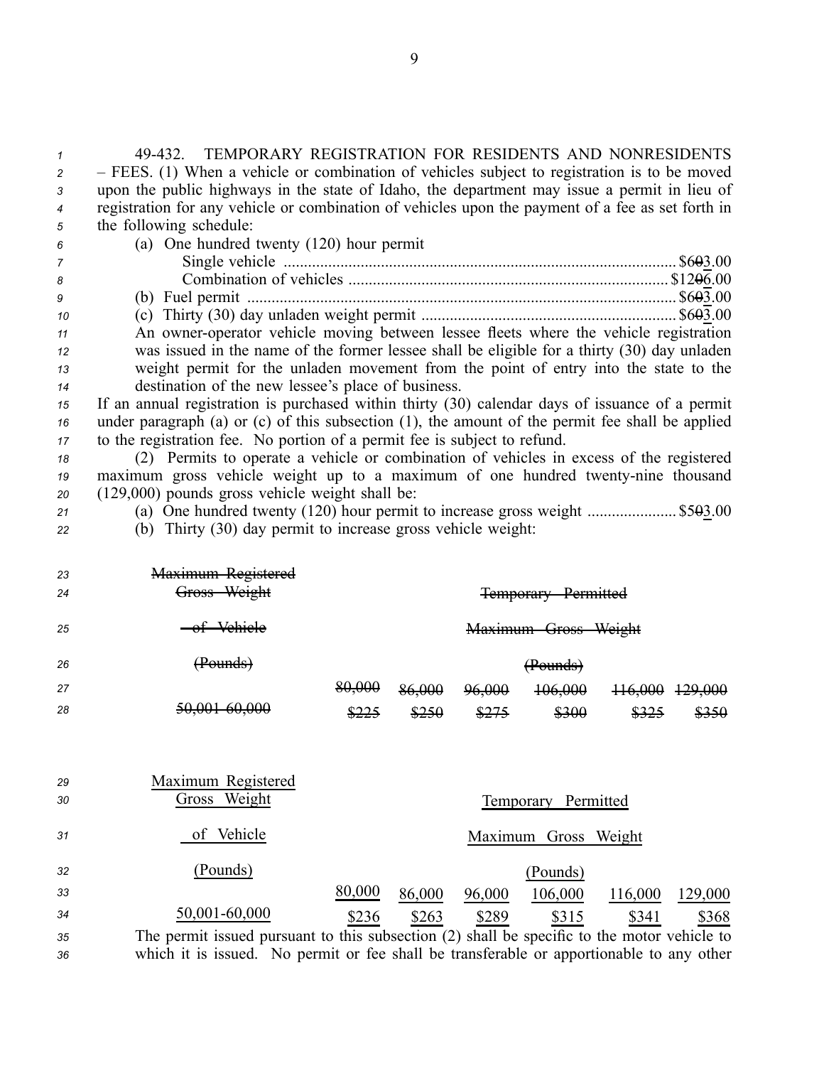| $\overline{c}$ | - FEES. (1) When a vehicle or combination of vehicles subject to registration is to be moved      |        |        |        |                      |         |         |
|----------------|---------------------------------------------------------------------------------------------------|--------|--------|--------|----------------------|---------|---------|
| 3              | upon the public highways in the state of Idaho, the department may issue a permit in lieu of      |        |        |        |                      |         |         |
| 4              | registration for any vehicle or combination of vehicles upon the payment of a fee as set forth in |        |        |        |                      |         |         |
| 5              | the following schedule:                                                                           |        |        |        |                      |         |         |
| 6              | (a) One hundred twenty (120) hour permit                                                          |        |        |        |                      |         |         |
| 7              |                                                                                                   |        |        |        |                      |         |         |
| 8              |                                                                                                   |        |        |        |                      |         |         |
| 9              |                                                                                                   |        |        |        |                      |         |         |
| 10             |                                                                                                   |        |        |        |                      |         |         |
| 11             | An owner-operator vehicle moving between lessee fleets where the vehicle registration             |        |        |        |                      |         |         |
| 12             | was issued in the name of the former lessee shall be eligible for a thirty (30) day unladen       |        |        |        |                      |         |         |
| 13             | weight permit for the unladen movement from the point of entry into the state to the              |        |        |        |                      |         |         |
| 14             | destination of the new lessee's place of business.                                                |        |        |        |                      |         |         |
| 15             | If an annual registration is purchased within thirty (30) calendar days of issuance of a permit   |        |        |        |                      |         |         |
| 16             | under paragraph (a) or (c) of this subsection (1), the amount of the permit fee shall be applied  |        |        |        |                      |         |         |
| 17             | to the registration fee. No portion of a permit fee is subject to refund.                         |        |        |        |                      |         |         |
| 18             | (2) Permits to operate a vehicle or combination of vehicles in excess of the registered           |        |        |        |                      |         |         |
| 19             | maximum gross vehicle weight up to a maximum of one hundred twenty-nine thousand                  |        |        |        |                      |         |         |
| 20             | $(129,000)$ pounds gross vehicle weight shall be:                                                 |        |        |        |                      |         |         |
| 21             | (a) One hundred twenty $(120)$ hour permit to increase gross weight  \$503.00                     |        |        |        |                      |         |         |
| 22             | (b) Thirty (30) day permit to increase gross vehicle weight:                                      |        |        |        |                      |         |         |
|                |                                                                                                   |        |        |        |                      |         |         |
|                |                                                                                                   |        |        |        |                      |         |         |
| 23             | Maximum Registered<br>Gross Weight                                                                |        |        |        |                      |         |         |
| 24             |                                                                                                   |        |        |        | <del>Temporary</del> |         |         |
| 25             |                                                                                                   |        |        |        |                      |         |         |
|                |                                                                                                   |        |        |        |                      |         |         |
| 26             | (Pounds)                                                                                          |        |        |        | (Pounds)             |         |         |
| 27             |                                                                                                   |        |        |        | 106,000              |         |         |
| 28             |                                                                                                   |        |        |        |                      |         |         |
|                |                                                                                                   |        |        |        |                      |         |         |
|                |                                                                                                   |        |        |        |                      |         |         |
|                |                                                                                                   |        |        |        |                      |         |         |
| 29             | Maximum Registered                                                                                |        |        |        |                      |         |         |
| 30             | Gross Weight                                                                                      |        |        |        | Temporary Permitted  |         |         |
|                |                                                                                                   |        |        |        |                      |         |         |
| 31             | Vehicle<br>of                                                                                     |        |        |        | Maximum Gross Weight |         |         |
|                |                                                                                                   |        |        |        |                      |         |         |
| 32             | (Pounds)                                                                                          |        |        |        | (Pounds)             |         |         |
| 33             |                                                                                                   | 80,000 | 86,000 | 96,000 | 106,000              | 116,000 | 129,000 |
| 34             | 50,001-60,000                                                                                     |        |        |        |                      |         |         |
|                |                                                                                                   | \$236  | \$263  | \$289  | \$315                | \$341   | \$368   |
| 35             | The permit issued pursuant to this subsection (2) shall be specific to the motor vehicle to       |        |        |        |                      |         |         |
| 36             | which it is issued. No permit or fee shall be transferable or apportionable to any other          |        |        |        |                      |         |         |

9

*<sup>1</sup>* 49432. TEMPORARY REGISTRATION FOR RESIDENTS AND NONRESIDENTS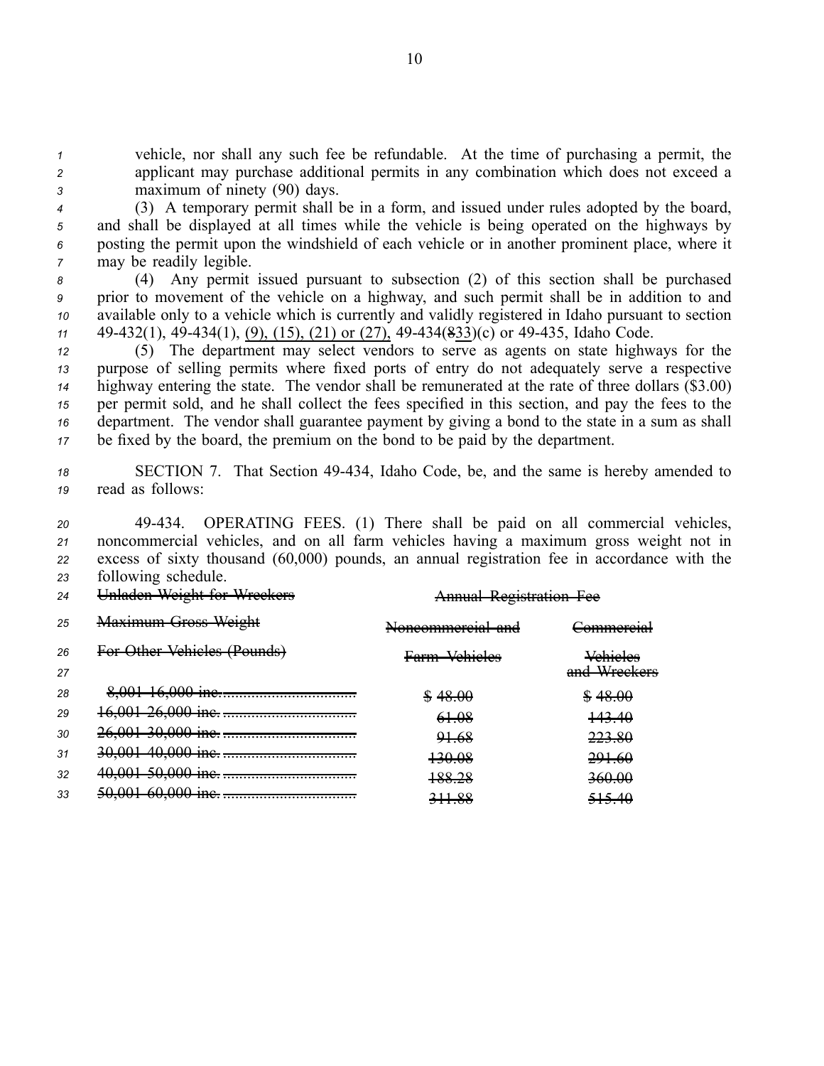*<sup>1</sup>* vehicle, nor shall any such fee be refundable. At the time of purchasing <sup>a</sup> permit, the *<sup>2</sup>* applicant may purchase additional permits in any combination which does not exceed <sup>a</sup> *<sup>3</sup>* maximum of ninety (90) days.

 (3) A temporary permit shall be in <sup>a</sup> form, and issued under rules adopted by the board, and shall be displayed at all times while the vehicle is being operated on the highways by posting the permit upon the windshield of each vehicle or in another prominent place, where it may be readily legible.

 (4) Any permit issued pursuan<sup>t</sup> to subsection (2) of this section shall be purchased prior to movement of the vehicle on <sup>a</sup> highway, and such permit shall be in addition to and available only to <sup>a</sup> vehicle which is currently and validly registered in Idaho pursuan<sup>t</sup> to section 49432(1), 49434(1), (9), (15), (21) or (27), 49434(833)(c) or 49435, Idaho Code.

 (5) The department may select vendors to serve as agents on state highways for the purpose of selling permits where fixed ports of entry do not adequately serve <sup>a</sup> respective highway entering the state. The vendor shall be remunerated at the rate of three dollars (\$3.00) per permit sold, and he shall collect the fees specified in this section, and pay the fees to the department. The vendor shall guarantee paymen<sup>t</sup> by giving <sup>a</sup> bond to the state in <sup>a</sup> sum as shall be fixed by the board, the premium on the bond to be paid by the department.

*<sup>18</sup>* SECTION 7. That Section 49434, Idaho Code, be, and the same is hereby amended to *<sup>19</sup>* read as follows:

 49434. OPERATING FEES. (1) There shall be paid on all commercial vehicles, noncommercial vehicles, and on all farm vehicles having <sup>a</sup> maximum gross weight not in excess of sixty thousand (60,000) pounds, an annual registration fee in accordance with the following schedule.

| 24 | <b>Unladen Weight for Wreekers</b> | <b>Annual Registration Fee</b> |                                 |  |
|----|------------------------------------|--------------------------------|---------------------------------|--|
| 25 | <b>Maximum Gross Weight</b>        | Noncommercial and              | <del>Commercial</del>           |  |
| 26 | For Other Vehieles (Pounds)        | Farm Vehieles                  | <b>Vehieles</b><br>and Wreekers |  |
| 27 |                                    |                                |                                 |  |
| 28 |                                    | \$48.00                        | \$48.00                         |  |
| 29 |                                    | 61.08                          | +43.40                          |  |
| 30 |                                    | 91.68                          | 223.80                          |  |
| 31 |                                    | 130.08                         | 291.60                          |  |
| 32 |                                    | 188.28                         | 360.00                          |  |
| 33 |                                    | 311.88                         | <del>515.40</del>               |  |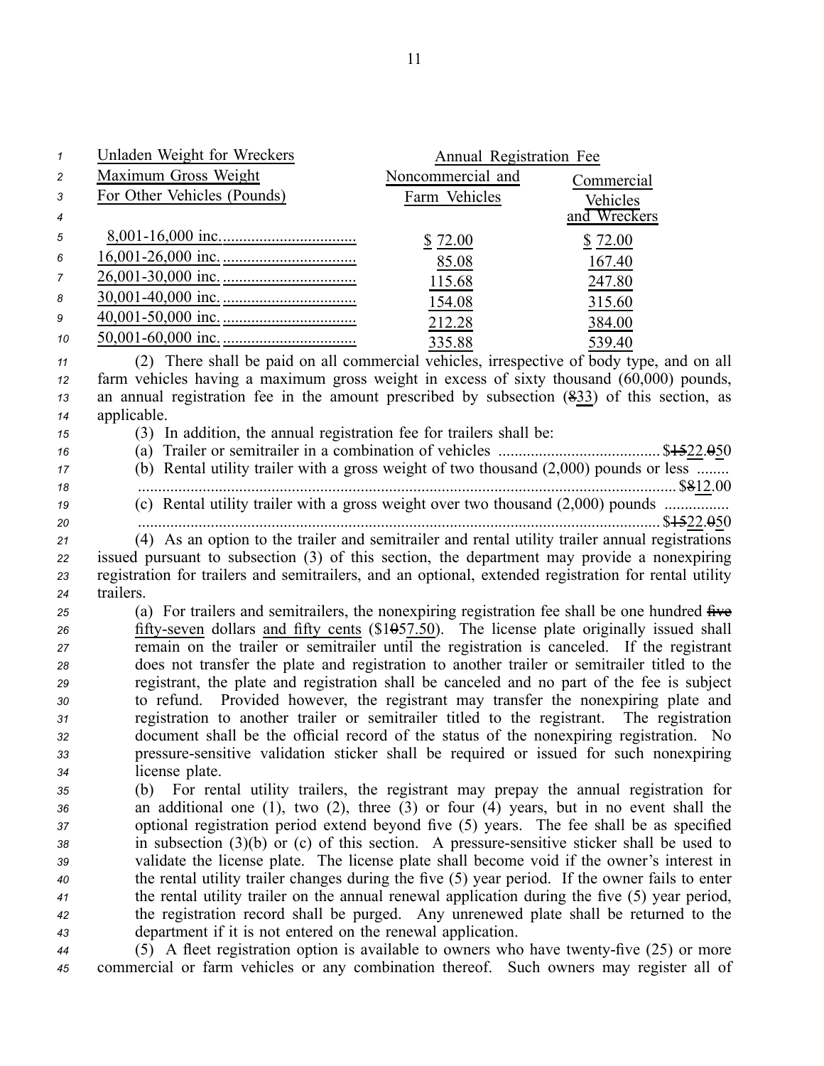| 1        | <b>Unladen Weight for Wreckers</b>                                                                                                                                                           | Annual Registration Fee |              |
|----------|----------------------------------------------------------------------------------------------------------------------------------------------------------------------------------------------|-------------------------|--------------|
| 2        | Maximum Gross Weight                                                                                                                                                                         | Noncommercial and       | Commercial   |
| 3        | For Other Vehicles (Pounds)                                                                                                                                                                  | Farm Vehicles           | Vehicles     |
| 4        |                                                                                                                                                                                              |                         | and Wreckers |
| 5        |                                                                                                                                                                                              | \$72.00                 | \$72.00      |
| 6        |                                                                                                                                                                                              | 85.08                   | 167.40       |
| 7        |                                                                                                                                                                                              | 115.68                  | 247.80       |
| 8        |                                                                                                                                                                                              | 154.08                  | 315.60       |
| 9        |                                                                                                                                                                                              | 212.28                  | 384.00       |
| 10       |                                                                                                                                                                                              |                         |              |
|          | (2) There shall be paid on all commercial vehicles, irrespective of body type, and on all                                                                                                    | 335.88                  | 539.40       |
| 11<br>12 | farm vehicles having a maximum gross weight in excess of sixty thousand (60,000) pounds,                                                                                                     |                         |              |
| 13       | an annual registration fee in the amount prescribed by subsection $(833)$ of this section, as                                                                                                |                         |              |
| 14       | applicable.                                                                                                                                                                                  |                         |              |
| 15       | (3) In addition, the annual registration fee for trailers shall be:                                                                                                                          |                         |              |
| 16       |                                                                                                                                                                                              |                         |              |
| 17       | (b) Rental utility trailer with a gross weight of two thousand $(2,000)$ pounds or less                                                                                                      |                         |              |
| 18       |                                                                                                                                                                                              |                         |              |
| 19       |                                                                                                                                                                                              |                         |              |
| 20       |                                                                                                                                                                                              |                         |              |
| 21       | (4) As an option to the trailer and semitrailer and rental utility trailer annual registrations                                                                                              |                         |              |
| 22       | issued pursuant to subsection (3) of this section, the department may provide a nonexpiring                                                                                                  |                         |              |
| 23<br>24 | registration for trailers and semitrailers, and an optional, extended registration for rental utility<br>trailers.                                                                           |                         |              |
| 25       | (a) For trailers and semitrailers, the nonexpiring registration fee shall be one hundred five                                                                                                |                         |              |
| 26       | fifty-seven dollars and fifty cents $(\$1057.50)$ . The license plate originally issued shall                                                                                                |                         |              |
| 27       | remain on the trailer or semitrailer until the registration is canceled. If the registrant                                                                                                   |                         |              |
| 28       | does not transfer the plate and registration to another trailer or semitrailer titled to the                                                                                                 |                         |              |
| 29       | registrant, the plate and registration shall be canceled and no part of the fee is subject                                                                                                   |                         |              |
| 30       | to refund. Provided however, the registrant may transfer the nonexpiring plate and                                                                                                           |                         |              |
| 31       | registration to another trailer or semitrailer titled to the registrant. The registration                                                                                                    |                         |              |
| 32       | document shall be the official record of the status of the nonexpiring registration. No                                                                                                      |                         |              |
| 33       | pressure-sensitive validation sticker shall be required or issued for such nonexpiring                                                                                                       |                         |              |
| 34       | license plate.                                                                                                                                                                               |                         |              |
| 35       | (b) For rental utility trailers, the registrant may prepay the annual registration for                                                                                                       |                         |              |
| 36<br>37 | an additional one $(1)$ , two $(2)$ , three $(3)$ or four $(4)$ years, but in no event shall the<br>optional registration period extend beyond five (5) years. The fee shall be as specified |                         |              |
| 38       | in subsection $(3)(b)$ or $(c)$ of this section. A pressure-sensitive sticker shall be used to                                                                                               |                         |              |
| 39       | validate the license plate. The license plate shall become void if the owner's interest in                                                                                                   |                         |              |
| 40       | the rental utility trailer changes during the five (5) year period. If the owner fails to enter                                                                                              |                         |              |
| 41       | the rental utility trailer on the annual renewal application during the five (5) year period,                                                                                                |                         |              |
| 42       | the registration record shall be purged. Any unrenewed plate shall be returned to the                                                                                                        |                         |              |
| 43       | department if it is not entered on the renewal application.                                                                                                                                  |                         |              |
| 44       | (5) A fleet registration option is available to owners who have twenty-five (25) or more                                                                                                     |                         |              |

*<sup>45</sup>* commercial or farm vehicles or any combination thereof. Such owners may register all of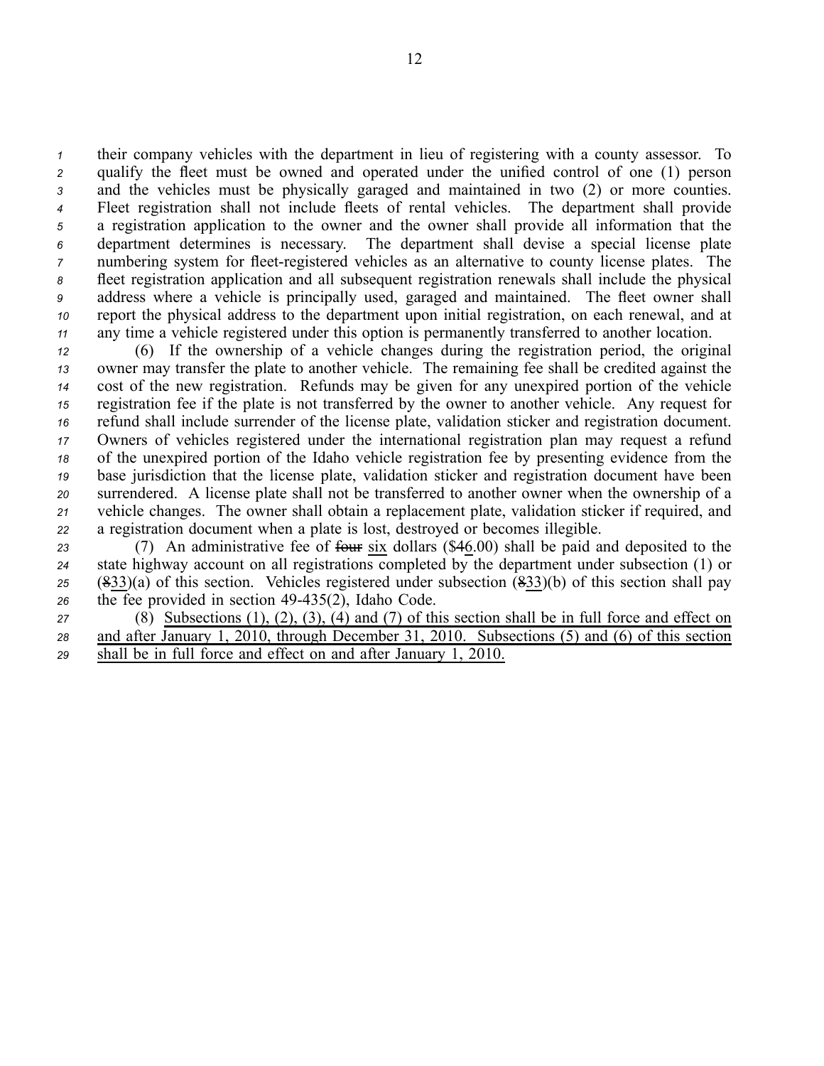their company vehicles with the department in lieu of registering with <sup>a</sup> county assessor. To qualify the fleet must be owned and operated under the unified control of one (1) person and the vehicles must be physically garaged and maintained in two (2) or more counties. Fleet registration shall not include fleets of rental vehicles. The department shall provide <sup>a</sup> registration application to the owner and the owner shall provide all information that the department determines is necessary. The department shall devise <sup>a</sup> special license plate numbering system for fleet-registered vehicles as an alternative to county license plates. The fleet registration application and all subsequent registration renewals shall include the physical address where <sup>a</sup> vehicle is principally used, garaged and maintained. The fleet owner shall repor<sup>t</sup> the physical address to the department upon initial registration, on each renewal, and at any time <sup>a</sup> vehicle registered under this option is permanently transferred to another location.

 (6) If the ownership of <sup>a</sup> vehicle changes during the registration period, the original owner may transfer the plate to another vehicle. The remaining fee shall be credited against the cost of the new registration. Refunds may be given for any unexpired portion of the vehicle registration fee if the plate is not transferred by the owner to another vehicle. Any reques<sup>t</sup> for refund shall include surrender of the license plate, validation sticker and registration document. Owners of vehicles registered under the international registration plan may reques<sup>t</sup> <sup>a</sup> refund of the unexpired portion of the Idaho vehicle registration fee by presenting evidence from the base jurisdiction that the license plate, validation sticker and registration document have been surrendered. A license plate shall not be transferred to another owner when the ownership of <sup>a</sup> vehicle changes. The owner shall obtain <sup>a</sup> replacement plate, validation sticker if required, and <sup>a</sup> registration document when <sup>a</sup> plate is lost, destroyed or becomes illegible.

23 (7) An administrative fee of front six dollars (\$46.00) shall be paid and deposited to the 24 state highway account on all registrations completed by the department under subsection  $(1)$  or *<sup>25</sup>* (833)(a) of this section. Vehicles registered under subsection (833)(b) of this section shall pay 26 the fee provided in section 49-435(2), Idaho Code.

*<sup>27</sup>* (8) Subsections (1), (2), (3), (4) and (7) of this section shall be in full force and effect on *<sup>28</sup>* and after January 1, 2010, through December 31, 2010. Subsections (5) and (6) of this section *<sup>29</sup>* shall be in full force and effect on and after January 1, 2010.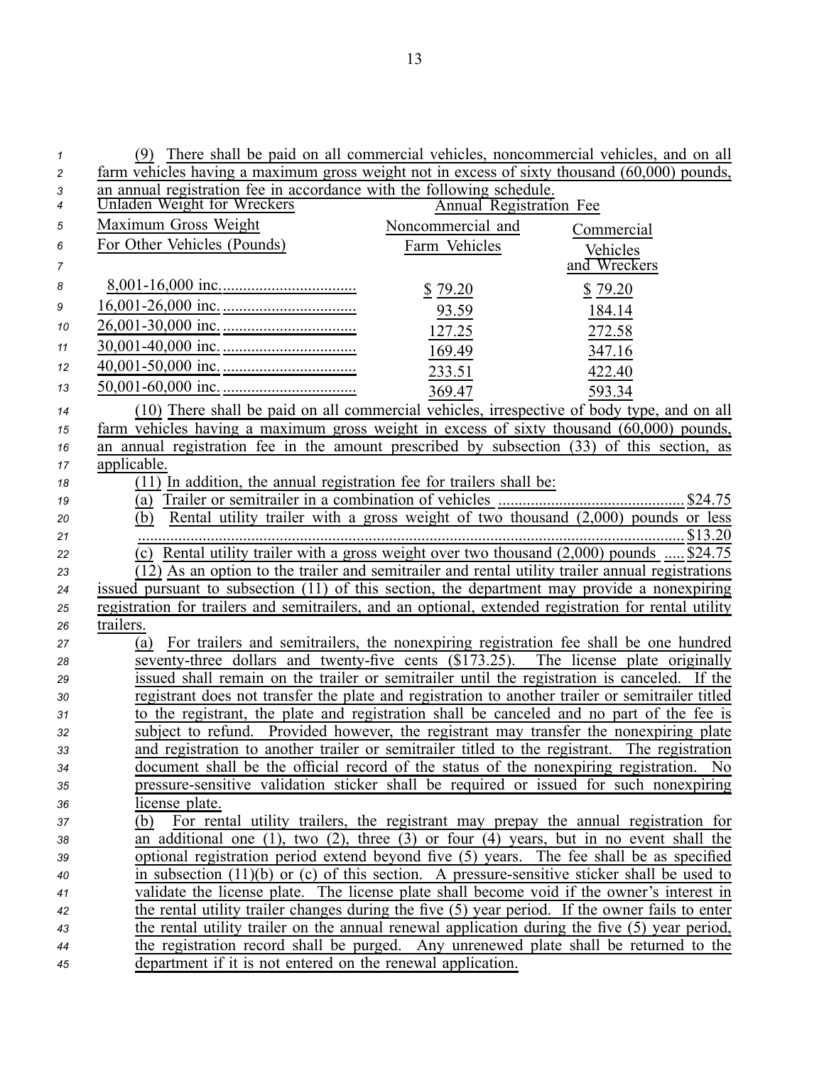| $\mathcal I$   | (9) There shall be paid on all commercial vehicles, noncommercial vehicles, and on all                                                                                              |
|----------------|-------------------------------------------------------------------------------------------------------------------------------------------------------------------------------------|
| $\overline{c}$ | farm vehicles having a maximum gross weight not in excess of sixty thousand $(60,000)$ pounds,                                                                                      |
| 3              | an annual registration fee in accordance with the following schedule.                                                                                                               |
| 4              | Unladen Weight for Wreckers<br>Annual Registration Fee                                                                                                                              |
| 5              | Maximum Gross Weight<br>Noncommercial and<br>Commercial                                                                                                                             |
| 6              | For Other Vehicles (Pounds)<br>Farm Vehicles<br>Vehicles                                                                                                                            |
| 7              | and Wreckers                                                                                                                                                                        |
| 8              | \$79.20<br>\$79.20                                                                                                                                                                  |
| 9              | 93.59<br>184.14                                                                                                                                                                     |
| 10             | 127.25<br>272.58                                                                                                                                                                    |
| 11             | 169.49<br>347.16                                                                                                                                                                    |
| 12             | 233.51<br>422.40                                                                                                                                                                    |
| 13             | 369.47<br>593.34                                                                                                                                                                    |
| 14             | (10) There shall be paid on all commercial vehicles, irrespective of body type, and on all                                                                                          |
| 15             | farm vehicles having a maximum gross weight in excess of sixty thousand (60,000) pounds,                                                                                            |
| 16             | an annual registration fee in the amount prescribed by subsection (33) of this section, as                                                                                          |
| 17             | applicable.                                                                                                                                                                         |
| 18             | (11) In addition, the annual registration fee for trailers shall be:                                                                                                                |
| 19             | (a)                                                                                                                                                                                 |
| 20             | Rental utility trailer with a gross weight of two thousand $(2,000)$ pounds or less<br>(b)                                                                                          |
| 21             |                                                                                                                                                                                     |
| 22             | (c) Rental utility trailer with a gross weight over two thousand $(2,000)$ pounds  \$24.75                                                                                          |
| 23             | (12) As an option to the trailer and semitrailer and rental utility trailer annual registrations                                                                                    |
| 24             | issued pursuant to subsection (11) of this section, the department may provide a nonexpiring                                                                                        |
| 25             | registration for trailers and semitrailers, and an optional, extended registration for rental utility                                                                               |
| 26             | trailers.                                                                                                                                                                           |
| 27             | For trailers and semitrailers, the nonexpiring registration fee shall be one hundred<br>(a)                                                                                         |
| 28             | seventy-three dollars and twenty-five cents (\$173.25). The license plate originally                                                                                                |
| 29             | issued shall remain on the trailer or semitrailer until the registration is canceled. If the                                                                                        |
| 30             | registrant does not transfer the plate and registration to another trailer or semitrailer titled                                                                                    |
| 31             | to the registrant, the plate and registration shall be canceled and no part of the fee is<br>subject to refund. Provided however, the registrant may transfer the nonexpiring plate |
| 32             | and registration to another trailer or semitrailer titled to the registrant. The registration                                                                                       |
| 33<br>34       | document shall be the official record of the status of the nonexpiring registration.<br>N <sub>0</sub>                                                                              |
| 35             | pressure-sensitive validation sticker shall be required or issued for such nonexpiring                                                                                              |
| 36             | license plate.                                                                                                                                                                      |
| 37             | For rental utility trailers, the registrant may prepay the annual registration for<br>(b)                                                                                           |
| 38             | an additional one $(1)$ , two $(2)$ , three $(3)$ or four $(4)$ years, but in no event shall the                                                                                    |
| 39             | optional registration period extend beyond five (5) years. The fee shall be as specified                                                                                            |
| 40             | in subsection $(11)(b)$ or $(c)$ of this section. A pressure-sensitive sticker shall be used to                                                                                     |
| 41             | validate the license plate. The license plate shall become void if the owner's interest in                                                                                          |
| 42             | the rental utility trailer changes during the five (5) year period. If the owner fails to enter                                                                                     |
| 43             | the rental utility trailer on the annual renewal application during the five (5) year period,                                                                                       |
| 44             | the registration record shall be purged. Any unrenewed plate shall be returned to the                                                                                               |
| 45             | department if it is not entered on the renewal application.                                                                                                                         |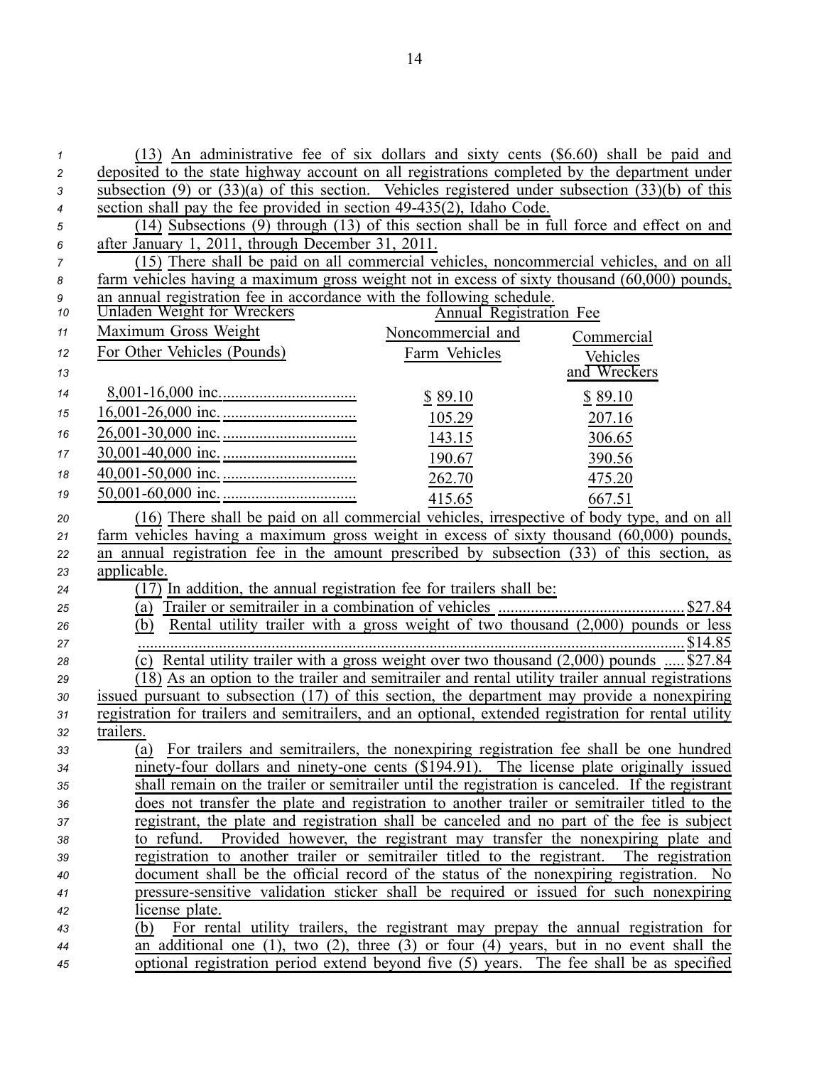| 1              | (13) An administrative fee of six dollars and sixty cents (\$6.60) shall be paid and                                                                                |
|----------------|---------------------------------------------------------------------------------------------------------------------------------------------------------------------|
| $\overline{c}$ | deposited to the state highway account on all registrations completed by the department under                                                                       |
| 3              | subsection (9) or $(33)(a)$ of this section. Vehicles registered under subsection $(33)(b)$ of this                                                                 |
| 4              | section shall pay the fee provided in section 49-435(2), Idaho Code.                                                                                                |
| 5              | (14) Subsections (9) through (13) of this section shall be in full force and effect on and                                                                          |
| 6              | after January 1, 2011, through December 31, 2011.                                                                                                                   |
| 7              | (15) There shall be paid on all commercial vehicles, noncommercial vehicles, and on all                                                                             |
| 8              | farm vehicles having a maximum gross weight not in excess of sixty thousand (60,000) pounds,                                                                        |
| 9              | an annual registration fee in accordance with the following schedule.                                                                                               |
| 10             | Unladen Weight for Wreckers<br><b>Annual Registration Fee</b>                                                                                                       |
| 11             | Maximum Gross Weight<br>Noncommercial and<br>Commercial                                                                                                             |
| 12             | For Other Vehicles (Pounds)<br>Farm Vehicles<br>Vehicles                                                                                                            |
| 13             | and Wreckers                                                                                                                                                        |
| 14             | \$89.10<br>\$89.10                                                                                                                                                  |
| 15             | 105.29<br>207.16                                                                                                                                                    |
| 16             | 306.65<br>143.15                                                                                                                                                    |
| 17             | 190.67<br>390.56                                                                                                                                                    |
| 18             |                                                                                                                                                                     |
| 19             | 262.70<br>475.20                                                                                                                                                    |
|                | 415.65<br>667.51                                                                                                                                                    |
| 20             | (16) There shall be paid on all commercial vehicles, irrespective of body type, and on all                                                                          |
| 21             | farm vehicles having a maximum gross weight in excess of sixty thousand (60,000) pounds,                                                                            |
|                |                                                                                                                                                                     |
| 22             | an annual registration fee in the amount prescribed by subsection (33) of this section, as                                                                          |
| 23             | applicable.                                                                                                                                                         |
| 24             | (17) In addition, the annual registration fee for trailers shall be:                                                                                                |
| 25             | (a)                                                                                                                                                                 |
| 26             | Rental utility trailer with a gross weight of two thousand $(2,000)$ pounds or less<br>(b)                                                                          |
| 27             |                                                                                                                                                                     |
| 28             | (c) Rental utility trailer with a gross weight over two thousand $(2,000)$ pounds  \$27.84                                                                          |
| 29             | (18) As an option to the trailer and semitrailer and rental utility trailer annual registrations                                                                    |
| 30             | issued pursuant to subsection (17) of this section, the department may provide a nonexpiring                                                                        |
| 31             | registration for trailers and semitrailers, and an optional, extended registration for rental utility                                                               |
| 32             | trailers.                                                                                                                                                           |
| 33             | (a) For trailers and semitrailers, the nonexpiring registration fee shall be one hundred                                                                            |
| 34             | ninety-four dollars and ninety-one cents (\$194.91). The license plate originally issued                                                                            |
| 35             | shall remain on the trailer or semitrailer until the registration is canceled. If the registrant                                                                    |
| 36             | does not transfer the plate and registration to another trailer or semitrailer titled to the                                                                        |
| 37             | registrant, the plate and registration shall be canceled and no part of the fee is subject                                                                          |
| 38<br>39       | to refund. Provided however, the registrant may transfer the nonexpiring plate and<br>The registration                                                              |
| 40             | registration to another trailer or semitrailer titled to the registrant.<br>document shall be the official record of the status of the nonexpiring registration. No |
| 41             | pressure-sensitive validation sticker shall be required or issued for such nonexpiring                                                                              |
| 42             | license plate.                                                                                                                                                      |
| 43             | For rental utility trailers, the registrant may prepay the annual registration for<br>(b)                                                                           |
| 44             | an additional one $(1)$ , two $(2)$ , three $(3)$ or four $(4)$ years, but in no event shall the                                                                    |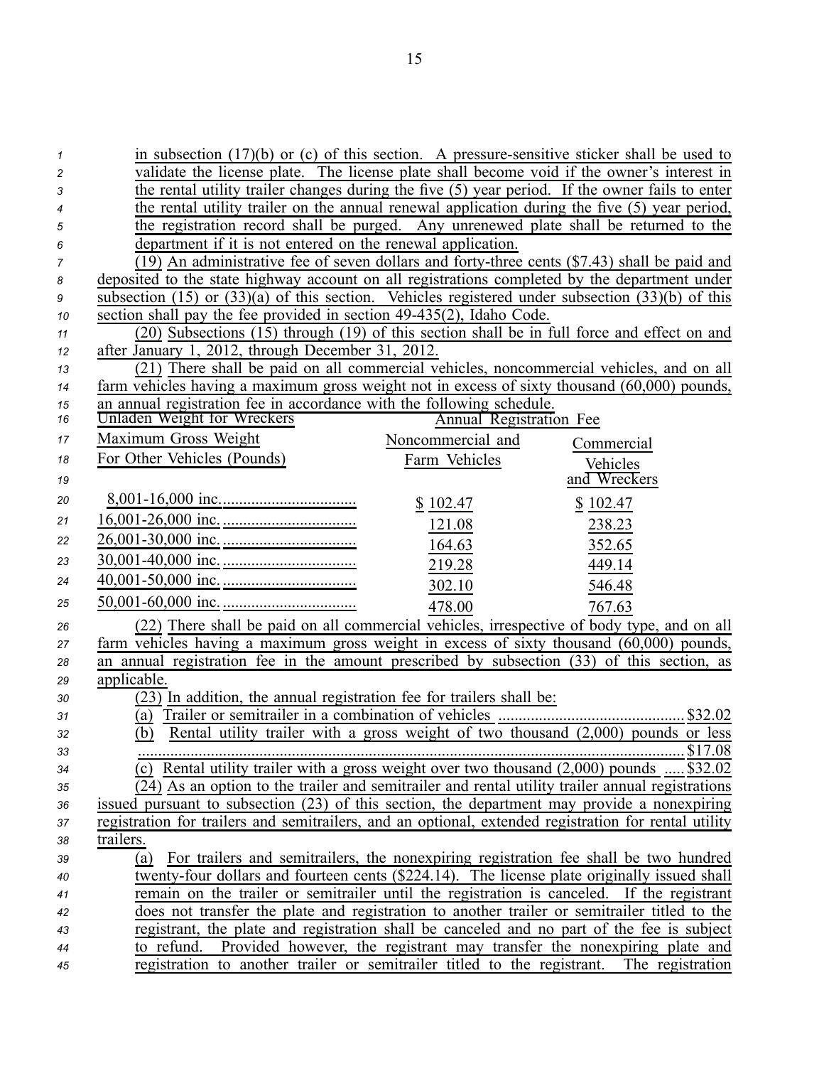| $\mathcal I$   | in subsection $(17)(b)$ or (c) of this section. A pressure-sensitive sticker shall be used to                                                                                           |  |  |  |  |
|----------------|-----------------------------------------------------------------------------------------------------------------------------------------------------------------------------------------|--|--|--|--|
| $\overline{c}$ | validate the license plate. The license plate shall become void if the owner's interest in                                                                                              |  |  |  |  |
| 3              | the rental utility trailer changes during the five (5) year period. If the owner fails to enter                                                                                         |  |  |  |  |
| 4              | the rental utility trailer on the annual renewal application during the five (5) year period,                                                                                           |  |  |  |  |
| 5              | the registration record shall be purged. Any unrenewed plate shall be returned to the                                                                                                   |  |  |  |  |
| 6              | department if it is not entered on the renewal application.                                                                                                                             |  |  |  |  |
| $\overline{7}$ | (19) An administrative fee of seven dollars and forty-three cents (\$7.43) shall be paid and                                                                                            |  |  |  |  |
| 8              | deposited to the state highway account on all registrations completed by the department under                                                                                           |  |  |  |  |
| 9              | subsection (15) or $(33)(a)$ of this section. Vehicles registered under subsection $(33)(b)$ of this                                                                                    |  |  |  |  |
| 10             | section shall pay the fee provided in section 49-435(2), Idaho Code.                                                                                                                    |  |  |  |  |
| 11             | (20) Subsections (15) through (19) of this section shall be in full force and effect on and                                                                                             |  |  |  |  |
| 12             | after January 1, 2012, through December 31, 2012.                                                                                                                                       |  |  |  |  |
| 13             | (21) There shall be paid on all commercial vehicles, noncommercial vehicles, and on all<br>farm vehicles having a maximum gross weight not in excess of sixty thousand (60,000) pounds, |  |  |  |  |
| 14<br>15       | an annual registration fee in accordance with the following schedule.                                                                                                                   |  |  |  |  |
| 16             | Unladen Weight for Wreckers<br><b>Annual Registration Fee</b>                                                                                                                           |  |  |  |  |
| 17             | Maximum Gross Weight<br>Noncommercial and<br>Commercial                                                                                                                                 |  |  |  |  |
| 18             | For Other Vehicles (Pounds)<br>Farm Vehicles                                                                                                                                            |  |  |  |  |
| 19             | Vehicles<br>and Wreckers                                                                                                                                                                |  |  |  |  |
|                |                                                                                                                                                                                         |  |  |  |  |
| 20             | \$102.47<br>\$102.47                                                                                                                                                                    |  |  |  |  |
| 21             | 121.08<br>238.23                                                                                                                                                                        |  |  |  |  |
| 22             | 164.63<br>352.65                                                                                                                                                                        |  |  |  |  |
| 23             | 219.28<br>449.14                                                                                                                                                                        |  |  |  |  |
| 24             | 302.10<br>546.48                                                                                                                                                                        |  |  |  |  |
| 25             | 478.00<br>767.63                                                                                                                                                                        |  |  |  |  |
| 26             | (22) There shall be paid on all commercial vehicles, irrespective of body type, and on all                                                                                              |  |  |  |  |
| 27             | farm vehicles having a maximum gross weight in excess of sixty thousand $(60,000)$ pounds,                                                                                              |  |  |  |  |
| 28             | an annual registration fee in the amount prescribed by subsection (33) of this section, as                                                                                              |  |  |  |  |
| 29             | applicable.                                                                                                                                                                             |  |  |  |  |
| 30             | $\sqrt{(23)}$ In addition, the annual registration fee for trailers shall be:                                                                                                           |  |  |  |  |
| 31             |                                                                                                                                                                                         |  |  |  |  |
| 32             |                                                                                                                                                                                         |  |  |  |  |
| 33             |                                                                                                                                                                                         |  |  |  |  |
| 34             | (c) Rental utility trailer with a gross weight over two thousand $(2,000)$ pounds  \$32.02                                                                                              |  |  |  |  |
| 35             | (24) As an option to the trailer and semitrailer and rental utility trailer annual registrations                                                                                        |  |  |  |  |
| 36             | issued pursuant to subsection (23) of this section, the department may provide a nonexpiring                                                                                            |  |  |  |  |
| 37             | registration for trailers and semitrailers, and an optional, extended registration for rental utility                                                                                   |  |  |  |  |
| 38             | trailers.<br>For trailers and semitrailers, the nonexpiring registration fee shall be two hundred                                                                                       |  |  |  |  |
| 39             | (a)<br>twenty-four dollars and fourteen cents (\$224.14). The license plate originally issued shall                                                                                     |  |  |  |  |
| 40             | remain on the trailer or semitrailer until the registration is canceled. If the registrant                                                                                              |  |  |  |  |
| 41<br>42       | does not transfer the plate and registration to another trailer or semitrailer titled to the                                                                                            |  |  |  |  |
| 43             | registrant, the plate and registration shall be canceled and no part of the fee is subject                                                                                              |  |  |  |  |
| 44             | to refund. Provided however, the registrant may transfer the nonexpiring plate and                                                                                                      |  |  |  |  |
| 45             | registration to another trailer or semitrailer titled to the registrant. The registration                                                                                               |  |  |  |  |
|                |                                                                                                                                                                                         |  |  |  |  |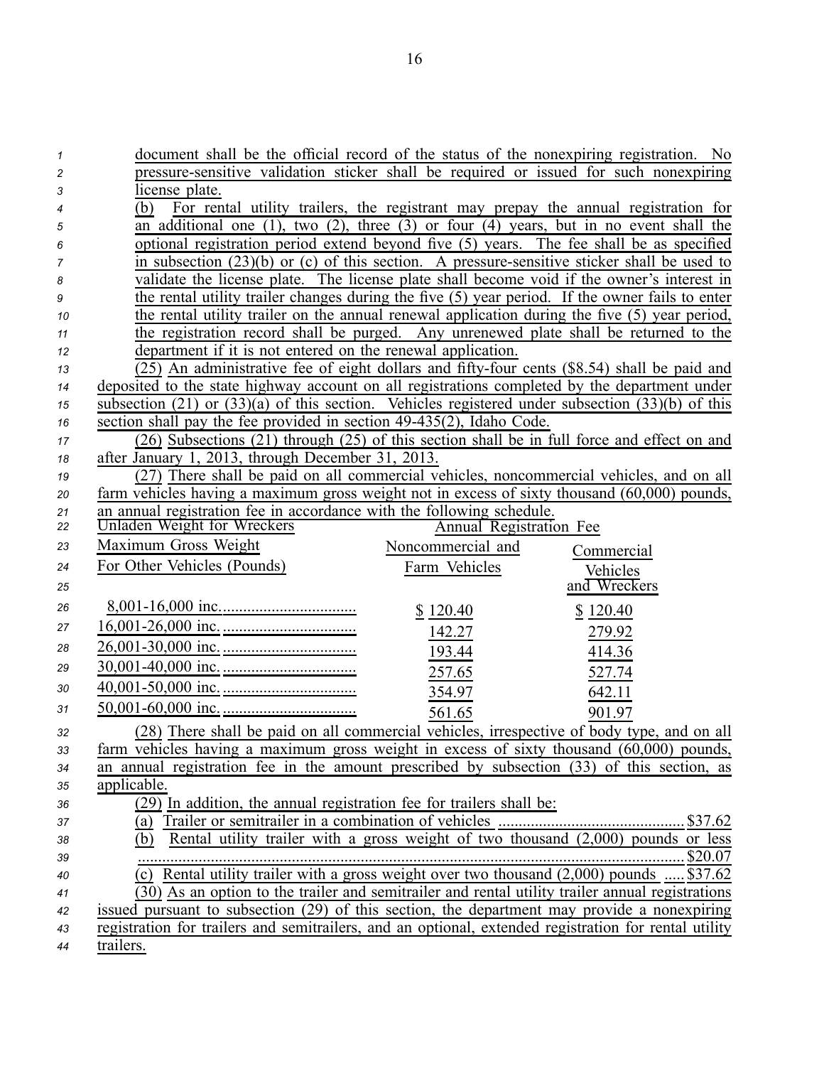| 1      | document shall be the official record of the status of the nonexpiring registration. No<br>pressure-sensitive validation sticker shall be required or issued for such nonexpiring |
|--------|-----------------------------------------------------------------------------------------------------------------------------------------------------------------------------------|
| 2<br>3 | license plate.                                                                                                                                                                    |
| 4      | For rental utility trailers, the registrant may prepay the annual registration for<br>(b)                                                                                         |
| 5      | an additional one $(1)$ , two $(2)$ , three $(3)$ or four $(4)$ years, but in no event shall the                                                                                  |
| 6      | optional registration period extend beyond five (5) years. The fee shall be as specified                                                                                          |
| 7      | in subsection $(23)(b)$ or $(c)$ of this section. A pressure-sensitive sticker shall be used to                                                                                   |
| 8      | validate the license plate. The license plate shall become void if the owner's interest in                                                                                        |
| 9      | the rental utility trailer changes during the five (5) year period. If the owner fails to enter                                                                                   |
| 10     | the rental utility trailer on the annual renewal application during the five (5) year period,                                                                                     |
| 11     | the registration record shall be purged. Any unrenewed plate shall be returned to the                                                                                             |
| 12     | department if it is not entered on the renewal application.                                                                                                                       |
| 13     | (25) An administrative fee of eight dollars and fifty-four cents (\$8.54) shall be paid and                                                                                       |
| 14     | deposited to the state highway account on all registrations completed by the department under                                                                                     |
| 15     | subsection $(21)$ or $(33)(a)$ of this section. Vehicles registered under subsection $(33)(b)$ of this                                                                            |
| 16     | section shall pay the fee provided in section 49-435(2), Idaho Code.                                                                                                              |
| 17     | (26) Subsections (21) through (25) of this section shall be in full force and effect on and                                                                                       |
| 18     | after January 1, 2013, through December 31, 2013.                                                                                                                                 |
| 19     | (27) There shall be paid on all commercial vehicles, noncommercial vehicles, and on all                                                                                           |
| 20     | farm vehicles having a maximum gross weight not in excess of sixty thousand (60,000) pounds,                                                                                      |
| 21     | an annual registration fee in accordance with the following schedule.                                                                                                             |
| 22     | Unladen Weight for Wreckers<br><b>Annual Registration Fee</b>                                                                                                                     |
| 23     | Maximum Gross Weight<br>Noncommercial and<br>Commercial                                                                                                                           |
| 24     | For Other Vehicles (Pounds)<br>Farm Vehicles<br>Vehicles                                                                                                                          |
| 25     | and Wreckers                                                                                                                                                                      |
| 26     | \$120.40<br>\$120.40                                                                                                                                                              |
| 27     | 142.27<br>279.92                                                                                                                                                                  |
| 28     | 193.44<br>414.36                                                                                                                                                                  |
| 29     | 257.65<br>527.74                                                                                                                                                                  |
| 30     | 354.97<br>642.11                                                                                                                                                                  |
| 31     | 561.65<br>901.97                                                                                                                                                                  |
| 32     | (28) There shall be paid on all commercial vehicles, irrespective of body type, and on all                                                                                        |
| 33     | farm vehicles having a maximum gross weight in excess of sixty thousand (60,000) pounds,                                                                                          |
| 34     | an annual registration fee in the amount prescribed by subsection (33) of this section, as                                                                                        |
| 35     | applicable.                                                                                                                                                                       |
| 36     | (29) In addition, the annual registration fee for trailers shall be:                                                                                                              |
| 37     | (a)                                                                                                                                                                               |
| 38     | Rental utility trailer with a gross weight of two thousand $(2,000)$ pounds or less<br>(b)                                                                                        |
| 39     |                                                                                                                                                                                   |
| 40     | (c) Rental utility trailer with a gross weight over two thousand $(2,000)$ pounds  \$37.62                                                                                        |
| 41     | (30) As an option to the trailer and semitrailer and rental utility trailer annual registrations                                                                                  |
| 42     | issued pursuant to subsection (29) of this section, the department may provide a nonexpiring                                                                                      |
| 43     | registration for trailers and semitrailers, and an optional, extended registration for rental utility                                                                             |
| 44     | trailers.                                                                                                                                                                         |

16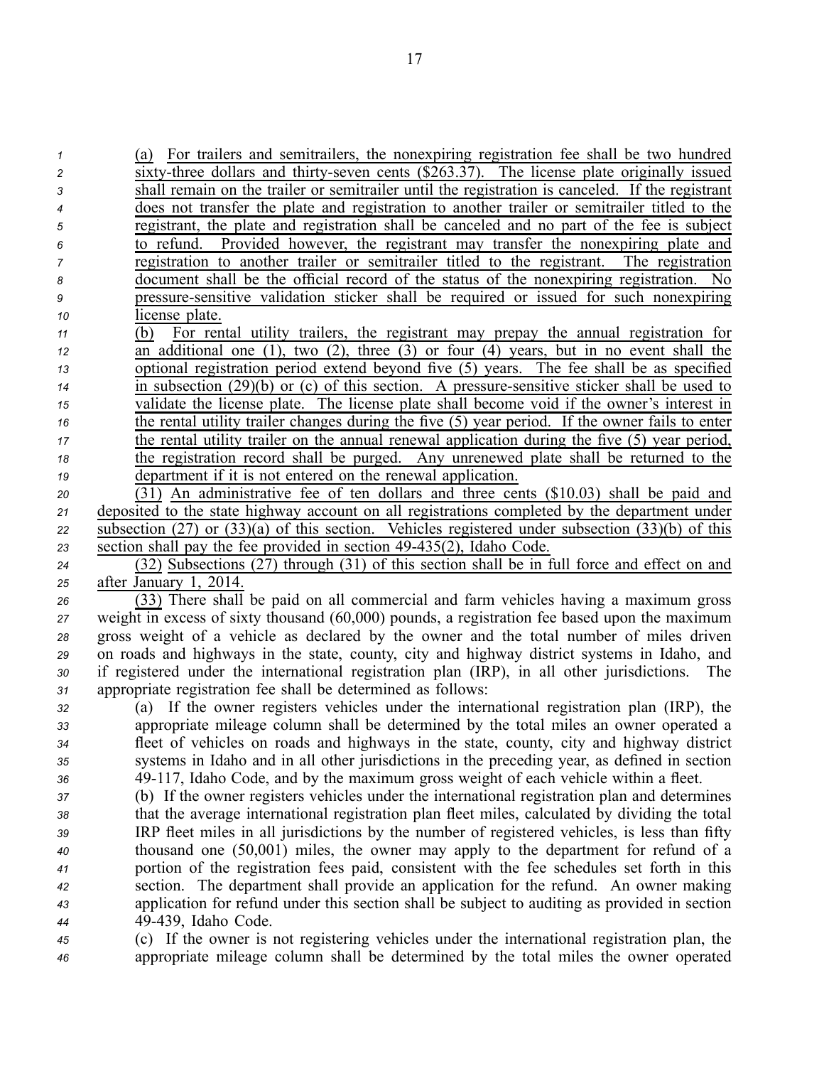(a) For trailers and semitrailers, the nonexpiring registration fee shall be two hundred  $\overline{\text{six}}$  three dollars and thirty-seven cents  $(\$263.37)$ . The license plate originally issued shall remain on the trailer or semitrailer until the registration is canceled. If the registrant does not transfer the plate and registration to another trailer or semitrailer titled to the registrant, the plate and registration shall be canceled and no par<sup>t</sup> of the fee is subject to refund. Provided however, the registrant may transfer the nonexpiring plate and registration to another trailer or semitrailer titled to the registrant. The registration document shall be the official record of the status of the nonexpiring registration. No **pressure-sensitive validation sticker shall be required or issued for such nonexpiring**  license plate. (b) For rental utility trailers, the registrant may prepay the annual registration for an additional one (1), two (2), three (3) or four (4) years, but in no event shall the optional registration period extend beyond five (5) years. The fee shall be as specified in subsection (29)(b) or (c) of this section. A pressure-sensitive sticker shall be used to validate the license plate. The license plate shall become void if the owner's interest in the rental utility trailer changes during the five (5) year period. If the owner fails to enter the rental utility trailer on the annual renewal application during the five (5) year period, the registration record shall be purged. Any unrenewed plate shall be returned to the department if it is not entered on the renewal application. (31) An administrative fee of ten dollars and three cents (\$10.03) shall be paid and deposited to the state highway account on all registrations completed by the department under subsection (27) or (33)(a) of this section. Vehicles registered under subsection (33)(b) of this za section shall pay the fee provided in section 49-435(2), Idaho Code. (32) Subsections (27) through (31) of this section shall be in full force and effect on and after January 1, 2014. (33) There shall be paid on all commercial and farm vehicles having <sup>a</sup> maximum gross weight in excess of sixty thousand (60,000) pounds, <sup>a</sup> registration fee based upon the maximum gross weight of <sup>a</sup> vehicle as declared by the owner and the total number of miles driven on roads and highways in the state, county, city and highway district systems in Idaho, and if registered under the international registration plan (IRP), in all other jurisdictions. The appropriate registration fee shall be determined as follows: (a) If the owner registers vehicles under the international registration plan (IRP), the appropriate mileage column shall be determined by the total miles an owner operated <sup>a</sup> fleet of vehicles on roads and highways in the state, county, city and highway district systems in Idaho and in all other jurisdictions in the preceding year, as defined in section 49117, Idaho Code, and by the maximum gross weight of each vehicle within <sup>a</sup> fleet. (b) If the owner registers vehicles under the international registration plan and determines that the average international registration plan fleet miles, calculated by dividing the total IRP fleet miles in all jurisdictions by the number of registered vehicles, is less than fifty

 thousand one (50,001) miles, the owner may apply to the department for refund of <sup>a</sup> portion of the registration fees paid, consistent with the fee schedules set forth in this section. The department shall provide an application for the refund. An owner making application for refund under this section shall be subject to auditing as provided in section 49439, Idaho Code.

*<sup>45</sup>* (c) If the owner is not registering vehicles under the international registration plan, the *<sup>46</sup>* appropriate mileage column shall be determined by the total miles the owner operated

17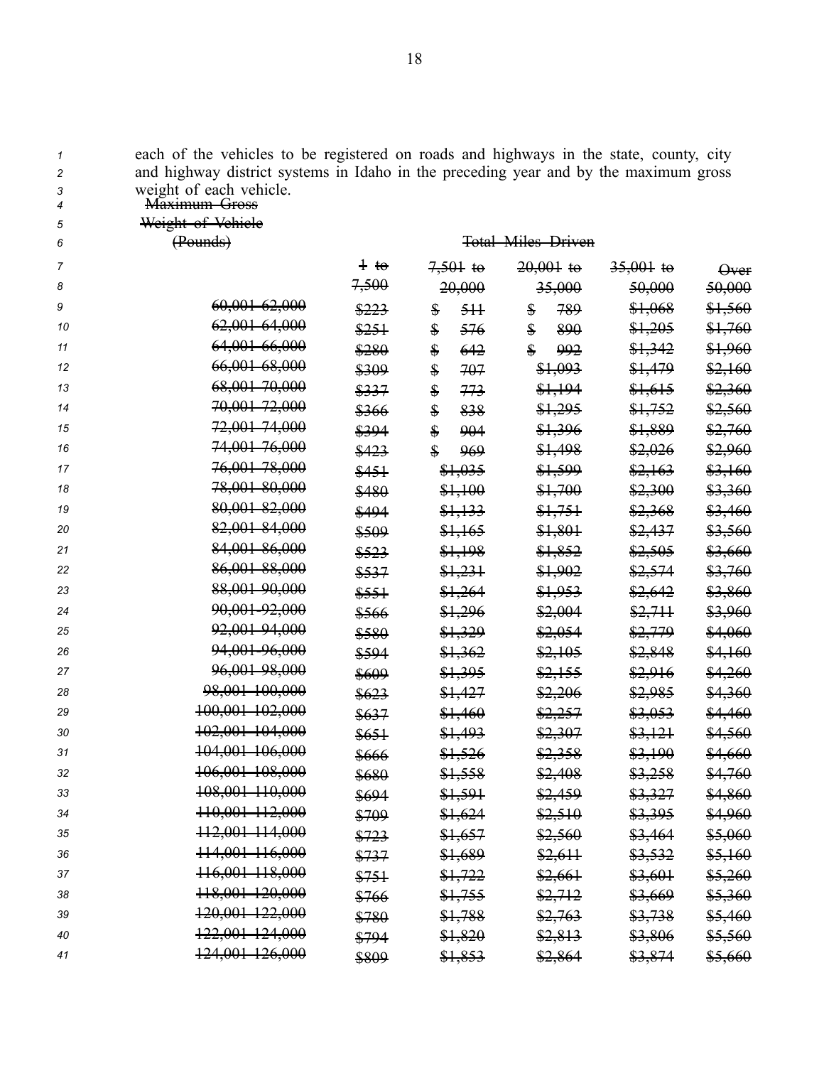| 7                   | each of the venicles to be registered on roads and highways in the state, county, city<br>and highway district systems in Idaho in the preceding year and by the maximum gross |          |                      |                           |             |                    |
|---------------------|--------------------------------------------------------------------------------------------------------------------------------------------------------------------------------|----------|----------------------|---------------------------|-------------|--------------------|
| $\overline{c}$<br>3 | weight of each vehicle.                                                                                                                                                        |          |                      |                           |             |                    |
| 4                   | <del>Maximum Gross</del>                                                                                                                                                       |          |                      |                           |             |                    |
| 5                   | Weight of Vehiele                                                                                                                                                              |          |                      |                           |             |                    |
| 6                   | (Pounds)                                                                                                                                                                       |          |                      | <b>Total Miles Driven</b> |             |                    |
| 7                   |                                                                                                                                                                                | $\pm$ to | $7,501$ to           | $20,001$ to               | $35,001$ to | $\Theta$ ver       |
| 8                   |                                                                                                                                                                                | 7,500    | 20,000               | 35,000                    | 50,000      | 50,000             |
| 9                   | 60,001 62,000                                                                                                                                                                  | \$223    | \$<br>5H             | 789<br>\$                 | \$1,068     | \$1,560            |
| 10                  | <del>62,001 64,000</del>                                                                                                                                                       | \$251    | \$<br>576            | \$<br>890                 | \$1,205     | <del>\$1,760</del> |
| 11                  | <del>64,001 66,000</del>                                                                                                                                                       | \$280    | \$<br>642            | \$<br>992                 | \$1,342     | <del>\$1,960</del> |
| 12                  | 66,001 68,000                                                                                                                                                                  | \$309    | \$<br>707            | \$1,093                   | \$1,479     | <del>\$2,160</del> |
| 13                  | 68,001 70,000                                                                                                                                                                  | \$337    | \$<br>773            | \$1,194                   | \$1,615     | <del>\$2,360</del> |
| 14                  | 70,001 72,000                                                                                                                                                                  | \$366    | \$<br>838            | \$1,295                   | \$1,752     | <del>\$2,560</del> |
| 15                  | <del>72,001 74,000</del>                                                                                                                                                       | \$394    | \$<br>904            | \$1,396                   | \$1,889     | <del>\$2,760</del> |
| 16                  | 74,001 76,000                                                                                                                                                                  | \$423    | $\frac{1}{2}$<br>969 | \$1,498                   | \$2,026     | <del>\$2,960</del> |
| 17                  | 76,001 78,000                                                                                                                                                                  | \$451    | \$1,035              | \$1,599                   | \$2,163     | <del>\$3,160</del> |
| 18                  | 78,001 80,000                                                                                                                                                                  | \$480    | \$1,100              | \$1,700                   | \$2,300     | <del>\$3,360</del> |
| 19                  | 80,001 82,000                                                                                                                                                                  | \$494    | \$1,133              | \$1,751                   | \$2,368     | <del>\$3,460</del> |
| 20                  | 82,001 84,000                                                                                                                                                                  | \$509    | <del>\$1,165</del>   | \$1,801                   | \$2,437     | <del>\$3,560</del> |
| 21                  | 84,001 86,000                                                                                                                                                                  | \$523    | \$1,198              | \$1,852                   | \$2,505     | <del>\$3,660</del> |
| 22                  | 86,001 88,000                                                                                                                                                                  | \$537    | \$1,231              | \$1,902                   | \$2,574     | <del>\$3,760</del> |
| 23                  | 88,001 90,000                                                                                                                                                                  | \$551    | \$1,264              | \$1,953                   | \$2,642     | <del>\$3,860</del> |
| 24                  | 90,001 92,000                                                                                                                                                                  | \$566    | \$1,296              | \$2,004                   | \$2,711     | <del>\$3,960</del> |
| 25                  | 92,001-94,000                                                                                                                                                                  | \$580    | \$1,329              | \$2,054                   | \$2,779     | <del>\$4,060</del> |
| 26                  | 94,001-96,000                                                                                                                                                                  | \$594    | \$1,362              | \$2,105                   | \$2,848     | <del>\$4,160</del> |
| 27                  | 96,001 98,000                                                                                                                                                                  | \$609    | \$1,395              | \$2,155                   | \$2,916     | <del>\$4,260</del> |
| 28                  | 98,001 100,000                                                                                                                                                                 | \$623    | \$1,427              | \$2,206                   | \$2,985     | <del>\$4,360</del> |
| 29                  | 100,001 102,000                                                                                                                                                                | \$637    | \$1,460              | \$2,257                   | \$3,053     | <del>\$4,460</del> |
| 30                  | 102,001 104,000                                                                                                                                                                | \$651    | \$1,493              | \$2,307                   | \$3,121     | <del>\$4,560</del> |
| 31                  | 104.001 106.000                                                                                                                                                                | \$666    | \$1,526              | \$2,358                   | \$3,190     | <del>\$4,660</del> |
| 32                  | 106,001 108,000                                                                                                                                                                | \$680    | <del>\$1,558</del>   | \$2,408                   | \$3,258     | \$4,760            |
| 33                  | 108,001 110,000                                                                                                                                                                | \$694    | <del>\$1,591</del>   | \$2,459                   | \$3,327     | <del>\$4,860</del> |
| 34                  | 110,001 112,000                                                                                                                                                                | \$709    | <del>\$1,624</del>   | \$2,510                   | \$3,395     | <del>\$4,960</del> |
| 35                  | 112,001 114,000                                                                                                                                                                | \$723    | \$1,657              | \$2,560                   | \$3,464     | <del>\$5,060</del> |
| 36                  | 114,001 116,000                                                                                                                                                                | \$737    | \$1,689              | \$2,611                   | \$3,532     | \$5,160            |
| 37                  | <del>116,001 118,000</del>                                                                                                                                                     | \$751    | \$1,722              | \$2,661                   | \$3,601     | <del>\$5,260</del> |
| 38                  | 118,001 120,000                                                                                                                                                                | \$766    | \$1,755              | \$2,712                   | \$3,669     | <del>\$5,360</del> |
| 39                  | 120,001 122,000                                                                                                                                                                | \$780    | \$1,788              | \$2,763                   | \$3,738     | <del>\$5,460</del> |
| 40                  | 122,001 124,000                                                                                                                                                                | \$794    | \$1,820              | \$2,813                   | \$3,806     | <del>\$5,560</del> |
| 41                  | 124,001 126,000                                                                                                                                                                | \$809    | \$1,853              | \$2,864                   | \$3,874     | \$5,660            |

*<sup>1</sup>* each of the vehicles to be registered on roads and highways in the state, county, city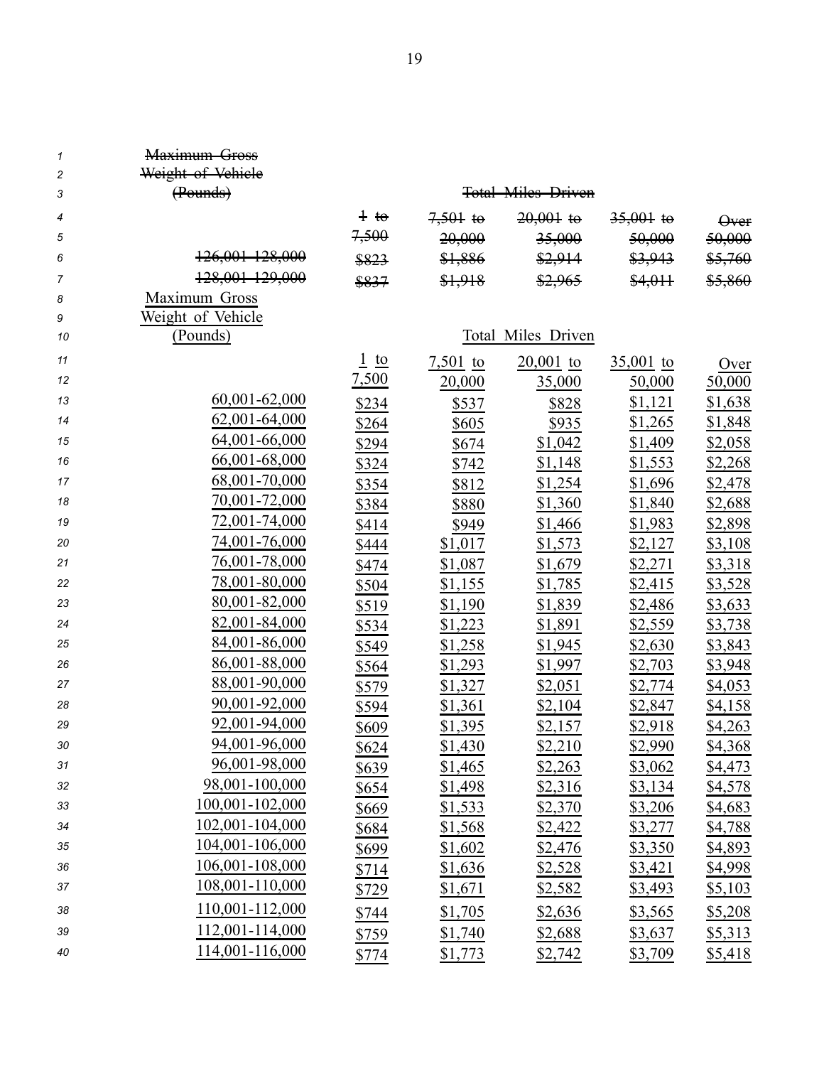| $\mathcal I$        | <del>Maximum Gross</del><br>Weight of Vehiele |                |            |                           |             |                |
|---------------------|-----------------------------------------------|----------------|------------|---------------------------|-------------|----------------|
| $\overline{c}$<br>3 | (Pounds)                                      |                |            | <b>Total Miles Driven</b> |             |                |
| $\overline{4}$      |                                               | $\pm$ to       | $7,501$ to | $20,001$ to               | $35,001$ to | <b>Over</b>    |
| 5                   |                                               | 7,500          | 20,000     | 35,000                    | 50,000      | 50,000         |
| 6                   | 126,001 128,000                               | \$823          | \$1,886    | \$2,914                   | \$3,943     | \$5,760        |
| $\overline{7}$      | 128,001 129,000                               | \$837          | \$1,918    | \$2,965                   | \$4,011     | \$5,860        |
| 8                   | Maximum Gross                                 |                |            |                           |             |                |
| 9                   | Weight of Vehicle                             |                |            |                           |             |                |
| 10                  | (Pounds)                                      |                |            | Total Miles Driven        |             |                |
| 11                  |                                               | $rac{1}{2}$ to | $7,501$ to | $20,001$ to               | $35,001$ to | Over           |
| 12                  |                                               | 7,500          | 20,000     | 35,000                    | 50,000      | 50,000         |
| 13                  | 60,001-62,000                                 | \$234          | \$537      | \$828                     | \$1,121     | \$1,638        |
| 14                  | 62,001-64,000                                 | \$264          | \$605      | <u>\$935</u>              | \$1,265     | \$1,848        |
| 15                  | 64,001-66,000                                 | \$294          | \$674      | \$1,042                   | \$1,409     | \$2,058        |
| 16                  | 66,001-68,000                                 | \$324          | \$742      | \$1,148                   | \$1,553     | \$2,268        |
| 17                  | 68,001-70,000                                 | \$354          | \$812      | \$1,254                   | \$1,696     | \$2,478        |
| 18                  | 70,001-72,000                                 | \$384          | \$880      | \$1,360                   | \$1,840     | \$2,688        |
| 19                  | 72,001-74,000                                 | \$414          | \$949      | \$1,466                   | \$1,983     | \$2,898        |
| 20                  | 74,001-76,000                                 | \$444          | \$1,017    | \$1,573                   | \$2,127     | \$3,108        |
| 21                  | 76,001-78,000                                 | \$474          | \$1,087    | \$1,679                   | \$2,271     | \$3,318        |
| 22                  | 78,001-80,000                                 | \$504          | \$1,155    | \$1,785                   | \$2,415     | \$3,528        |
| 23                  | 80,001-82,000                                 | \$519          | \$1,190    | \$1,839                   | \$2,486     | \$3,633        |
| 24                  | 82,001-84,000                                 | \$534          | \$1,223    | \$1,891                   | \$2,559     | \$3,738        |
| 25                  | 84,001-86,000                                 | \$549          | \$1,258    | \$1,945                   | \$2,630     | \$3,843        |
| 26                  | 86,001-88,000                                 | \$564          | \$1,293    | \$1,997                   | \$2,703     | \$3,948        |
| 27                  | 88,001-90,000                                 | \$579          | \$1,327    | \$2,051                   | \$2,774     | \$4,053        |
| 28                  | 90,001-92,000                                 | \$594          | \$1,361    | \$2,104                   | \$2,847     | \$4,158        |
| 29                  | 92,001-94,000                                 | \$609          | \$1,395    | \$2,157                   | \$2,918     | \$4,263        |
| 30                  | 94,001-96,000                                 | \$624          | \$1,430    | \$2,210                   | \$2,990     | \$4,368        |
| 31                  | 96,001-98,000                                 | <u>\$639</u>   | \$1,465    | \$2,263                   | \$3,062     | <u>\$4,473</u> |
| 32                  | 98,001-100,000                                | <u>\$654</u>   | \$1,498    | \$2,316                   | \$3,134     | <u>\$4,578</u> |
| 33                  | 100,001-102,000                               | <u>\$669</u>   | \$1,533    | \$2,370                   | \$3,206     | \$4,683        |
| 34                  | 102,001-104,000                               | <u>\$684</u>   | \$1,568    | \$2,422                   | \$3,277     | \$4,788        |
| 35                  | 104,001-106,000                               | \$699          | \$1,602    | \$2,476                   | \$3,350     | \$4,893        |
| 36                  | 106,001-108,000                               | \$714          | \$1,636    | \$2,528                   | \$3,421     | <u>\$4,998</u> |
| 37                  | 108,001-110,000                               | <u>\$729</u>   | \$1,671    | \$2,582                   | \$3,493     | \$5,103        |
| 38                  | 110,001-112,000                               | \$744          | \$1,705    | \$2,636                   | \$3,565     | \$5,208        |
| 39                  | 112,001-114,000                               | \$759          | \$1,740    | \$2,688                   | \$3,637     | \$5,313        |
| 40                  | 114,001-116,000                               | \$774          | \$1,773    | \$2,742                   | \$3,709     | \$5,418        |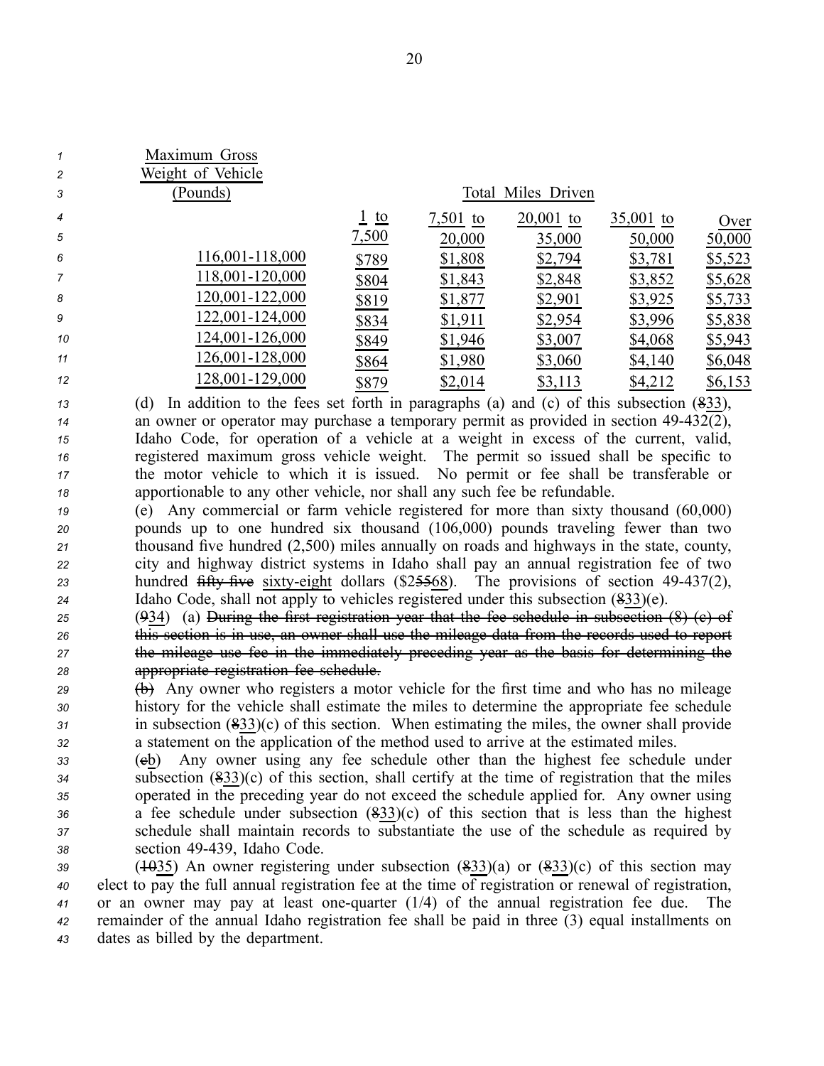| $\mathbf{1}$<br>$\overline{c}$<br>3 | Maximum Gross<br>Weight of Vehicle<br>(Pounds) |                  |          | Total Miles Driven |             |         |
|-------------------------------------|------------------------------------------------|------------------|----------|--------------------|-------------|---------|
| $\overline{4}$                      |                                                | $\frac{1}{2}$ to | 7,501 to | $20,001$ to        | $35,001$ to | Over    |
| 5                                   |                                                | 7,500            | 20,000   | 35,000             | 50,000      | 50,000  |
| 6                                   | 116,001-118,000                                | \$789            | \$1,808  | \$2,794            | \$3,781     | \$5,523 |
| $\overline{7}$                      | 118,001-120,000                                | \$804            | \$1,843  | \$2,848            | \$3,852     | \$5,628 |
| 8                                   | 120,001-122,000                                | \$819            | \$1,877  | \$2,901            | \$3,925     | \$5,733 |
| 9                                   | 122,001-124,000                                | \$834            | \$1,911  | \$2,954            | \$3,996     | \$5,838 |
| 10                                  | 124,001-126,000                                | \$849            | \$1,946  | \$3,007            | \$4,068     | \$5,943 |
| 11                                  | 126,001-128,000                                | \$864            | \$1,980  | \$3,060            | \$4,140     | \$6,048 |
| 12                                  | 128,001-129,000                                | \$879            | \$2,014  | \$3,113            | \$4,212     | \$6,153 |
|                                     |                                                |                  |          |                    |             |         |

 (d) In addition to the fees set forth in paragraphs (a) and (c) of this subsection (833), <sup>14</sup> an owner or operator may purchase a temporary permit as provided in section 49-432(2), Idaho Code, for operation of <sup>a</sup> vehicle at <sup>a</sup> weight in excess of the current, valid, registered maximum gross vehicle weight. The permit so issued shall be specific to the motor vehicle to which it is issued. No permit or fee shall be transferable or apportionable to any other vehicle, nor shall any such fee be refundable.

 (e) Any commercial or farm vehicle registered for more than sixty thousand (60,000) pounds up to one hundred six thousand (106,000) pounds traveling fewer than two thousand five hundred (2,500) miles annually on roads and highways in the state, county, city and highway district systems in Idaho shall pay an annual registration fee of two 23 hundred fifty five sixty-eight dollars (\$25568). The provisions of section 49-437(2), Idaho Code, shall not apply to vehicles registered under this subsection (833)(e).

 (934) (a) During the first registration year that the fee schedule in subsection (8) (c) of this section is in use, an owner shall use the mileage data from the records used to repor<sup>t</sup> the mileage use fee in the immediately preceding year as the basis for determining the appropriate registration fee schedule.

<sup>29</sup> (b) Any owner who registers a motor vehicle for the first time and who has no mileage history for the vehicle shall estimate the miles to determine the appropriate fee schedule in subsection (833)(c) of this section. When estimating the miles, the owner shall provide <sup>a</sup> statement on the application of the method used to arrive at the estimated miles.

 (cb) Any owner using any fee schedule other than the highest fee schedule under subsection (833)(c) of this section, shall certify at the time of registration that the miles operated in the preceding year do not exceed the schedule applied for. Any owner using <sup>a</sup> fee schedule under subsection (833)(c) of this section that is less than the highest schedule shall maintain records to substantiate the use of the schedule as required by section 49439, Idaho Code.

 (1035) An owner registering under subsection (833)(a) or (833)(c) of this section may elect to pay the full annual registration fee at the time of registration or renewal of registration, or an owner may pay at least onequarter (1/4) of the annual registration fee due. The remainder of the annual Idaho registration fee shall be paid in three (3) equal installments on dates as billed by the department.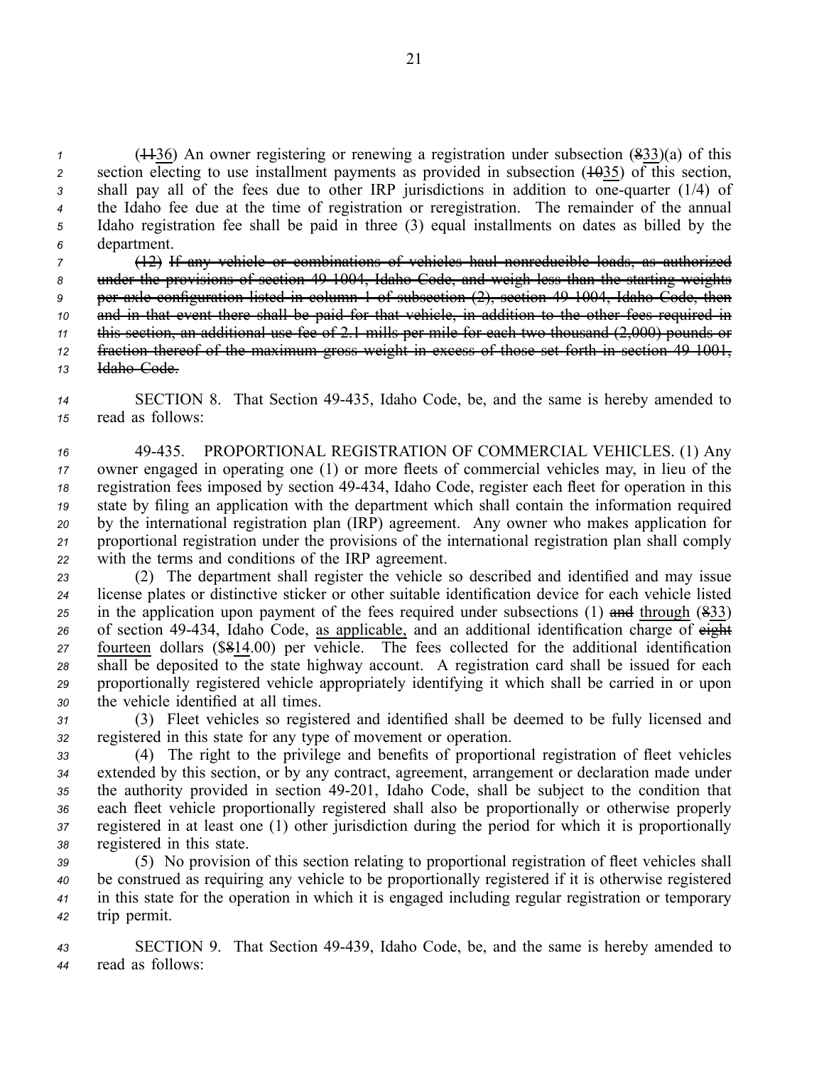(1136) An owner registering or renewing <sup>a</sup> registration under subsection (833)(a) of this z section electing to use installment payments as provided in subsection  $(10035)$  of this section, shall pay all of the fees due to other IRP jurisdictions in addition to onequarter (1/4) of the Idaho fee due at the time of registration or reregistration. The remainder of the annual Idaho registration fee shall be paid in three (3) equal installments on dates as billed by the department.

 (12) If any vehicle or combinations of vehicles haul nonreducible loads, as authorized 8 under the provisions of section 49-1004, Idaho Code, and weigh less than the starting weights per axle configuration listed in column 1 of subsection (2), section 491004, Idaho Code, then and in that event there shall be paid for that vehicle, in addition to the other fees required in this section, an additional use fee of 2.1 mills per mile for each two thousand (2,000) pounds or fraction thereof of the maximum gross weight in excess of those set forth in section 491001, Idaho Code.

*<sup>14</sup>* SECTION 8. That Section 49435, Idaho Code, be, and the same is hereby amended to *<sup>15</sup>* read as follows:

 49435. PROPORTIONAL REGISTRATION OF COMMERCIAL VEHICLES. (1) Any owner engaged in operating one (1) or more fleets of commercial vehicles may, in lieu of the registration fees imposed by section 49434, Idaho Code, register each fleet for operation in this state by filing an application with the department which shall contain the information required by the international registration plan (IRP) agreement. Any owner who makes application for proportional registration under the provisions of the international registration plan shall comply with the terms and conditions of the IRP agreement.

 (2) The department shall register the vehicle so described and identified and may issue license plates or distinctive sticker or other suitable identification device for each vehicle listed in the application upon paymen<sup>t</sup> of the fees required under subsections (1) and through (833) of section 49434, Idaho Code, as applicable, and an additional identification charge of eight fourteen dollars (\$814.00) per vehicle. The fees collected for the additional identification shall be deposited to the state highway account. A registration card shall be issued for each proportionally registered vehicle appropriately identifying it which shall be carried in or upon the vehicle identified at all times.

*<sup>31</sup>* (3) Fleet vehicles so registered and identified shall be deemed to be fully licensed and *<sup>32</sup>* registered in this state for any type of movement or operation.

 (4) The right to the privilege and benefits of proportional registration of fleet vehicles extended by this section, or by any contract, agreement, arrangemen<sup>t</sup> or declaration made under the authority provided in section 49201, Idaho Code, shall be subject to the condition that each fleet vehicle proportionally registered shall also be proportionally or otherwise properly registered in at least one (1) other jurisdiction during the period for which it is proportionally registered in this state.

 (5) No provision of this section relating to proportional registration of fleet vehicles shall be construed as requiring any vehicle to be proportionally registered if it is otherwise registered in this state for the operation in which it is engaged including regular registration or temporary trip permit.

*<sup>43</sup>* SECTION 9. That Section 49439, Idaho Code, be, and the same is hereby amended to *<sup>44</sup>* read as follows: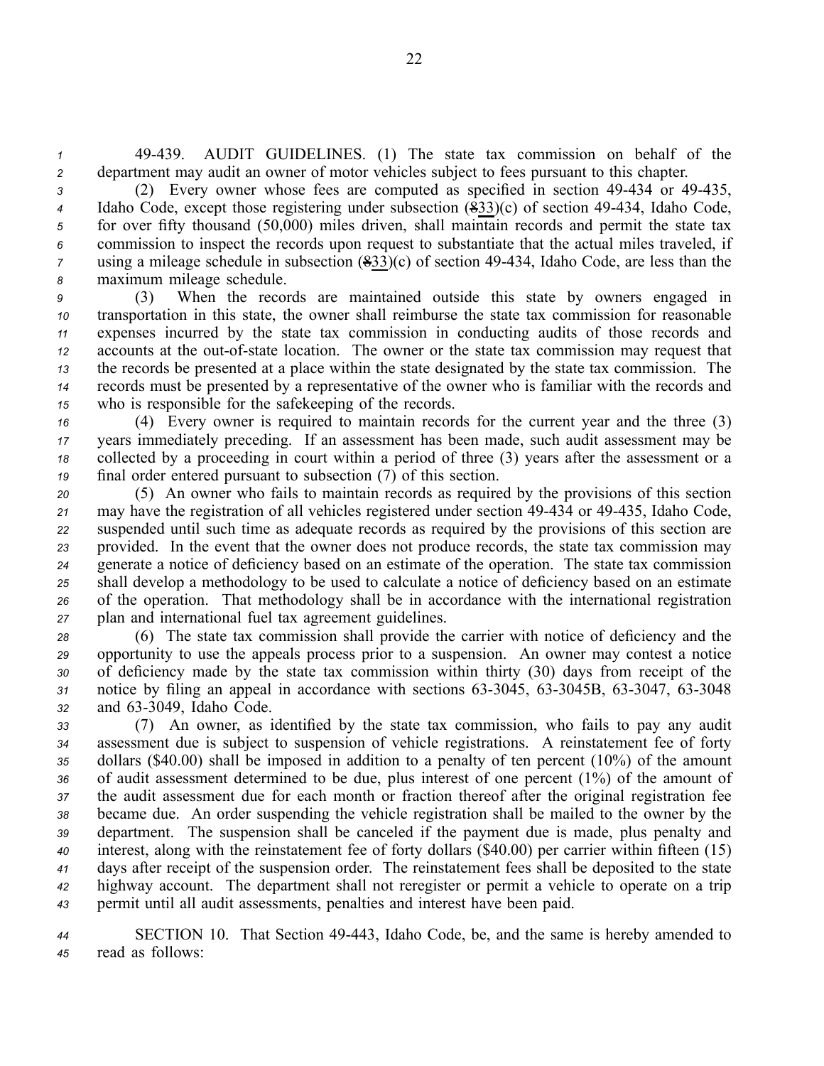*<sup>1</sup>* 49439. AUDIT GUIDELINES. (1) The state tax commission on behalf of the *<sup>2</sup>* department may audit an owner of motor vehicles subject to fees pursuan<sup>t</sup> to this chapter.

 (2) Every owner whose fees are computed as specified in section 49434 or 49435, Idaho Code, except those registering under subsection (833)(c) of section 49-434, Idaho Code, for over fifty thousand (50,000) miles driven, shall maintain records and permit the state tax commission to inspect the records upon reques<sup>t</sup> to substantiate that the actual miles traveled, if using a mileage schedule in subsection (833)(c) of section 49-434, Idaho Code, are less than the maximum mileage schedule.

 (3) When the records are maintained outside this state by owners engaged in transportation in this state, the owner shall reimburse the state tax commission for reasonable expenses incurred by the state tax commission in conducting audits of those records and accounts at the out-of-state location. The owner or the state tax commission may request that the records be presented at <sup>a</sup> place within the state designated by the state tax commission. The records must be presented by <sup>a</sup> representative of the owner who is familiar with the records and who is responsible for the safekeeping of the records.

 (4) Every owner is required to maintain records for the current year and the three (3) years immediately preceding. If an assessment has been made, such audit assessment may be collected by <sup>a</sup> proceeding in court within <sup>a</sup> period of three (3) years after the assessment or <sup>a</sup> final order entered pursuan<sup>t</sup> to subsection (7) of this section.

 (5) An owner who fails to maintain records as required by the provisions of this section 21 may have the registration of all vehicles registered under section 49-434 or 49-435, Idaho Code, suspended until such time as adequate records as required by the provisions of this section are provided. In the event that the owner does not produce records, the state tax commission may generate <sup>a</sup> notice of deficiency based on an estimate of the operation. The state tax commission shall develop <sup>a</sup> methodology to be used to calculate <sup>a</sup> notice of deficiency based on an estimate of the operation. That methodology shall be in accordance with the international registration plan and international fuel tax agreemen<sup>t</sup> guidelines.

 (6) The state tax commission shall provide the carrier with notice of deficiency and the opportunity to use the appeals process prior to <sup>a</sup> suspension. An owner may contest <sup>a</sup> notice of deficiency made by the state tax commission within thirty (30) days from receipt of the notice by filing an appeal in accordance with sections  $63-3045$ ,  $63-3045B$ ,  $63-3047$ ,  $63-3048$ 32 and 63-3049, Idaho Code.

 (7) An owner, as identified by the state tax commission, who fails to pay any audit assessment due is subject to suspension of vehicle registrations. A reinstatement fee of forty dollars (\$40.00) shall be imposed in addition to <sup>a</sup> penalty of ten percen<sup>t</sup> (10%) of the amount of audit assessment determined to be due, plus interest of one percen<sup>t</sup> (1%) of the amount of the audit assessment due for each month or fraction thereof after the original registration fee became due. An order suspending the vehicle registration shall be mailed to the owner by the department. The suspension shall be canceled if the paymen<sup>t</sup> due is made, plus penalty and interest, along with the reinstatement fee of forty dollars (\$40.00) per carrier within fifteen (15) days after receipt of the suspension order. The reinstatement fees shall be deposited to the state highway account. The department shall not reregister or permit <sup>a</sup> vehicle to operate on <sup>a</sup> trip permit until all audit assessments, penalties and interest have been paid.

*<sup>44</sup>* SECTION 10. That Section 49443, Idaho Code, be, and the same is hereby amended to *<sup>45</sup>* read as follows: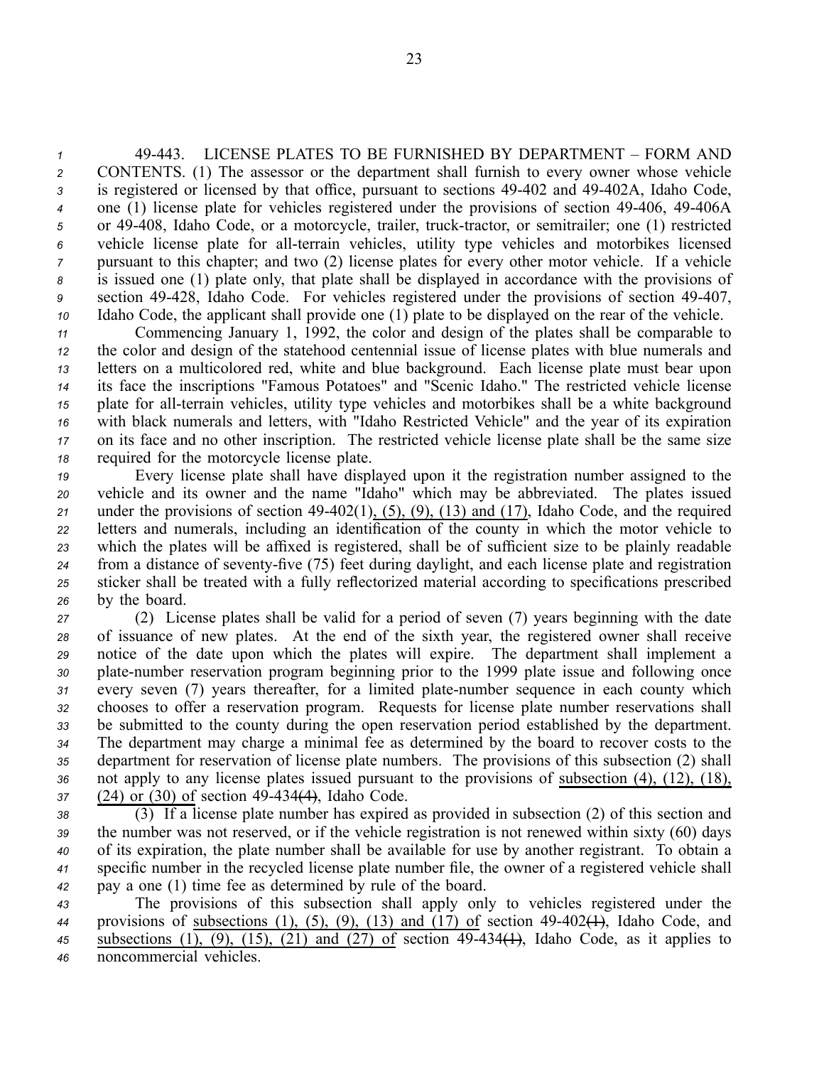49443. LICENSE PLATES TO BE FURNISHED BY DEPARTMENT – FORM AND CONTENTS. (1) The assessor or the department shall furnish to every owner whose vehicle is registered or licensed by that office, pursuant to sections 49-402 and 49-402A, Idaho Code, <sup>4</sup> one (1) license plate for vehicles registered under the provisions of section 49-406, 49-406A 5 or 49-408, Idaho Code, or a motorcycle, trailer, truck-tractor, or semitrailer; one (1) restricted vehicle license plate for all-terrain vehicles, utility type vehicles and motorbikes licensed pursuan<sup>t</sup> to this chapter; and two (2) license plates for every other motor vehicle. If <sup>a</sup> vehicle is issued one (1) plate only, that plate shall be displayed in accordance with the provisions of section 49428, Idaho Code. For vehicles registered under the provisions of section 49407, Idaho Code, the applicant shall provide one (1) plate to be displayed on the rear of the vehicle.

 Commencing January 1, 1992, the color and design of the plates shall be comparable to the color and design of the statehood centennial issue of license plates with blue numerals and letters on <sup>a</sup> multicolored red, white and blue background. Each license plate must bear upon its face the inscriptions "Famous Potatoes" and "Scenic Idaho." The restricted vehicle license plate for all-terrain vehicles, utility type vehicles and motorbikes shall be a white background with black numerals and letters, with "Idaho Restricted Vehicle" and the year of its expiration on its face and no other inscription. The restricted vehicle license plate shall be the same size required for the motorcycle license plate.

 Every license plate shall have displayed upon it the registration number assigned to the vehicle and its owner and the name "Idaho" which may be abbreviated. The plates issued under the provisions of section  $49-402(1)$ ,  $(5)$ ,  $(9)$ ,  $(13)$  and  $(17)$ , Idaho Code, and the required letters and numerals, including an identification of the county in which the motor vehicle to which the plates will be affixed is registered, shall be of sufficient size to be plainly readable 24 from a distance of seventy-five (75) feet during daylight, and each license plate and registration sticker shall be treated with <sup>a</sup> fully reflectorized material according to specifications prescribed by the board.

 (2) License plates shall be valid for <sup>a</sup> period of seven (7) years beginning with the date of issuance of new plates. At the end of the sixth year, the registered owner shall receive notice of the date upon which the plates will expire. The department shall implement <sup>a</sup> 30 plate-number reservation program beginning prior to the 1999 plate issue and following once every seven (7) years thereafter, for a limited plate-number sequence in each county which chooses to offer <sup>a</sup> reservation program. Requests for license plate number reservations shall be submitted to the county during the open reservation period established by the department. The department may charge <sup>a</sup> minimal fee as determined by the board to recover costs to the department for reservation of license plate numbers. The provisions of this subsection (2) shall not apply to any license plates issued pursuan<sup>t</sup> to the provisions of subsection (4), (12), (18), 37 (24) or (30) of section 49-434<del>(4)</del>, Idaho Code.

 (3) If <sup>a</sup> license plate number has expired as provided in subsection (2) of this section and the number was not reserved, or if the vehicle registration is not renewed within sixty (60) days of its expiration, the plate number shall be available for use by another registrant. To obtain <sup>a</sup> specific number in the recycled license plate number file, the owner of <sup>a</sup> registered vehicle shall pay <sup>a</sup> one (1) time fee as determined by rule of the board.

 The provisions of this subsection shall apply only to vehicles registered under the provisions of subsections (1), (5), (9), (13) and (17) of section 49402(1), Idaho Code, and 45 subsections (1), (9), (15), (21) and (27) of section  $49-434(1)$ , Idaho Code, as it applies to noncommercial vehicles.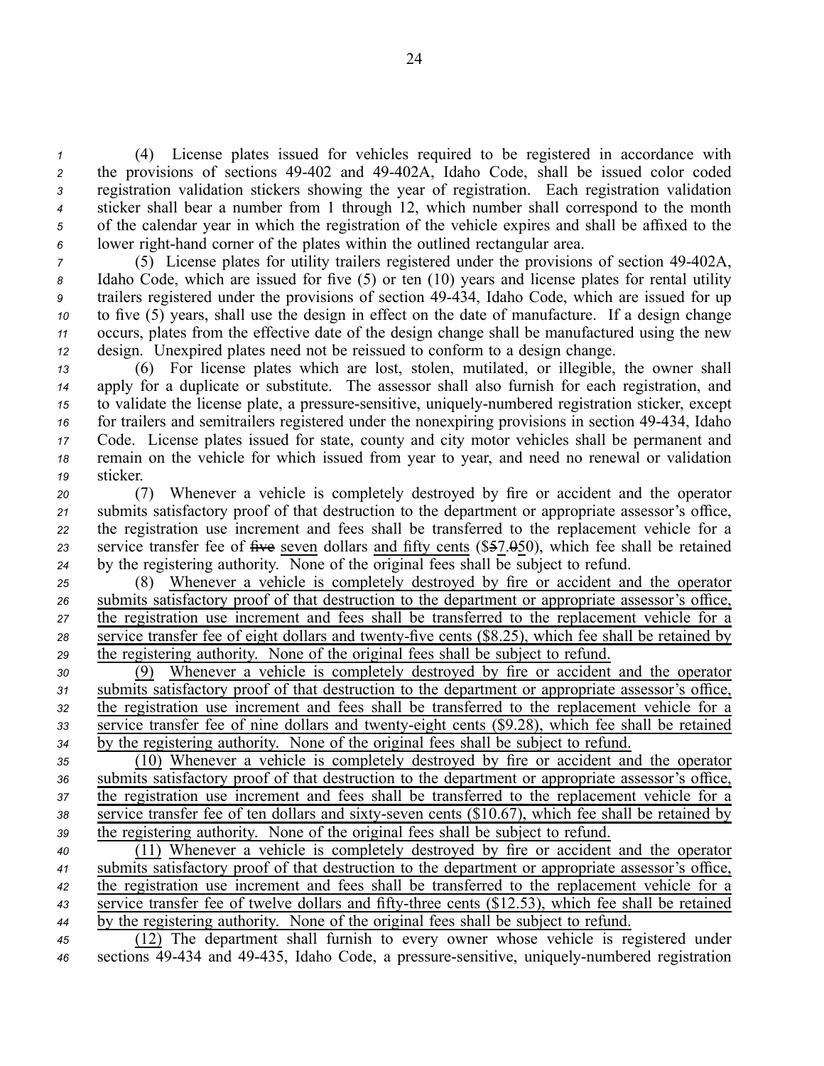(4) License plates issued for vehicles required to be registered in accordance with 2 the provisions of sections 49-402 and 49-402A, Idaho Code, shall be issued color coded registration validation stickers showing the year of registration. Each registration validation sticker shall bear <sup>a</sup> number from 1 through 12, which number shall correspond to the month of the calendar year in which the registration of the vehicle expires and shall be affixed to the lower right-hand corner of the plates within the outlined rectangular area.

 (5) License plates for utility trailers registered under the provisions of section 49402A, Idaho Code, which are issued for five (5) or ten (10) years and license plates for rental utility trailers registered under the provisions of section 49434, Idaho Code, which are issued for up to five (5) years, shall use the design in effect on the date of manufacture. If <sup>a</sup> design change occurs, plates from the effective date of the design change shall be manufactured using the new design. Unexpired plates need not be reissued to conform to <sup>a</sup> design change.

 (6) For license plates which are lost, stolen, mutilated, or illegible, the owner shall apply for <sup>a</sup> duplicate or substitute. The assessor shall also furnish for each registration, and to validate the license plate, a pressure-sensitive, uniquely-numbered registration sticker, except 16 for trailers and semitrailers registered under the nonexpiring provisions in section 49-434, Idaho Code. License plates issued for state, county and city motor vehicles shall be permanen<sup>t</sup> and remain on the vehicle for which issued from year to year, and need no renewal or validation *<sup>19</sup>* sticker.

 (7) Whenever <sup>a</sup> vehicle is completely destroyed by fire or accident and the operator submits satisfactory proof of that destruction to the department or appropriate assessor's office, the registration use increment and fees shall be transferred to the replacement vehicle for <sup>a</sup> service transfer fee of five seven dollars and fifty cents (\$57.050), which fee shall be retained by the registering authority. None of the original fees shall be subject to refund.

 (8) Whenever <sup>a</sup> vehicle is completely destroyed by fire or accident and the operator submits satisfactory proof of that destruction to the department or appropriate assessor's office, the registration use increment and fees shall be transferred to the replacement vehicle for <sup>a</sup> 28 service transfer fee of eight dollars and twenty-five cents (\$8.25), which fee shall be retained by the registering authority. None of the original fees shall be subject to refund.

 (9) Whenever <sup>a</sup> vehicle is completely destroyed by fire or accident and the operator submits satisfactory proof of that destruction to the department or appropriate assessor's office, the registration use increment and fees shall be transferred to the replacement vehicle for <sup>a</sup> 33 service transfer fee of nine dollars and twenty-eight cents (\$9.28), which fee shall be retained by the registering authority. None of the original fees shall be subject to refund.

 (10) Whenever <sup>a</sup> vehicle is completely destroyed by fire or accident and the operator submits satisfactory proof of that destruction to the department or appropriate assessor's office, the registration use increment and fees shall be transferred to the replacement vehicle for <sup>a</sup> service transfer fee of ten dollars and sixty-seven cents  $(\$10.67)$ , which fee shall be retained by the registering authority. None of the original fees shall be subject to refund.

 (11) Whenever <sup>a</sup> vehicle is completely destroyed by fire or accident and the operator submits satisfactory proof of that destruction to the department or appropriate assessor's office, the registration use increment and fees shall be transferred to the replacement vehicle for <sup>a</sup> 43 service transfer fee of twelve dollars and fifty-three cents (\$12.53), which fee shall be retained by the registering authority. None of the original fees shall be subject to refund.

*<sup>45</sup>* (12) The department shall furnish to every owner whose vehicle is registered under 46 sections 49-434 and 49-435, Idaho Code, a pressure-sensitive, uniquely-numbered registration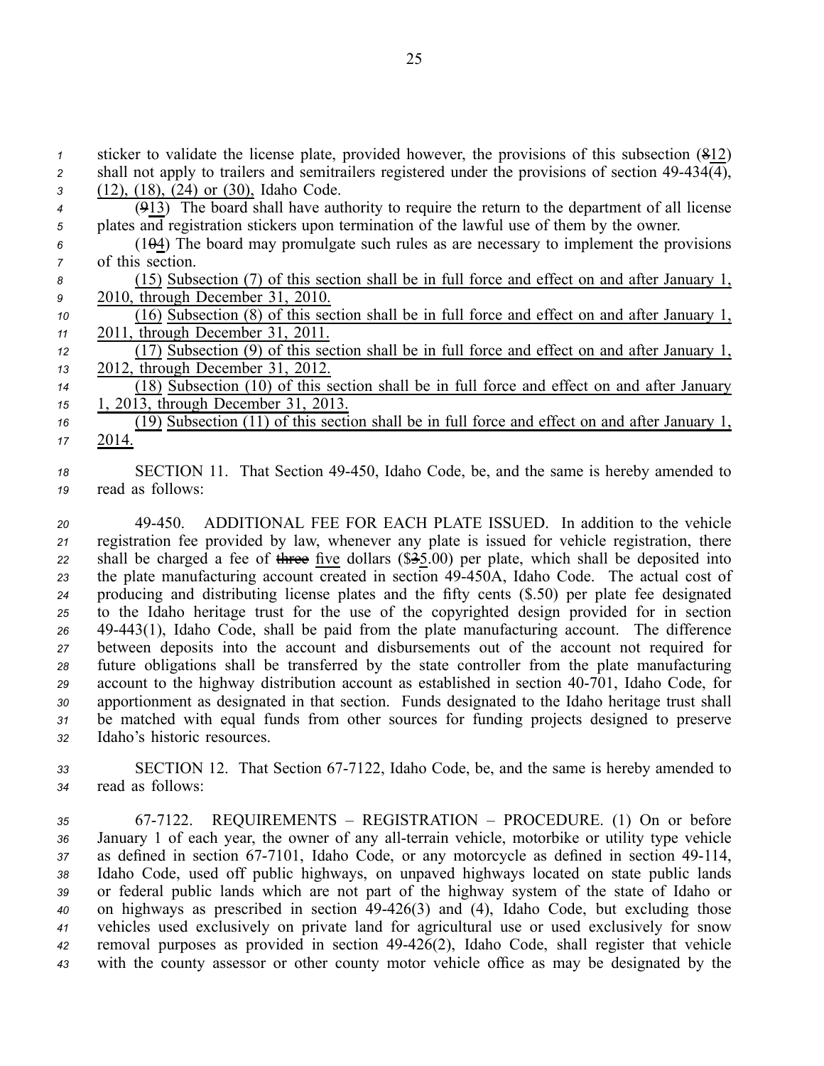sticker to validate the license plate, provided however, the provisions of this subsection (812) 2 shall not apply to trailers and semitrailers registered under the provisions of section  $49-434\overline{(4)}$ , (12), (18), (24) or (30), Idaho Code. (913) The board shall have authority to require the return to the department of all license plates and registration stickers upon termination of the lawful use of them by the owner. (104) The board may promulgate such rules as are necessary to implement the provisions of this section. (15) Subsection (7) of this section shall be in full force and effect on and after January 1, 2010, through December 31, 2010. (16) Subsection (8) of this section shall be in full force and effect on and after January 1, 2011, through December 31, 2011. (17) Subsection (9) of this section shall be in full force and effect on and after January 1, 2012, through December 31, 2012. (18) Subsection (10) of this section shall be in full force and effect on and after January 1, 2013, through December 31, 2013. (19) Subsection (11) of this section shall be in full force and effect on and after January 1, *<sup>17</sup>* 2014.

*<sup>18</sup>* SECTION 11. That Section 49450, Idaho Code, be, and the same is hereby amended to *<sup>19</sup>* read as follows:

 49450. ADDITIONAL FEE FOR EACH PLATE ISSUED. In addition to the vehicle registration fee provided by law, whenever any plate is issued for vehicle registration, there shall be charged <sup>a</sup> fee of three five dollars (\$35.00) per plate, which shall be deposited into 23 the plate manufacturing account created in section 49-450A, Idaho Code. The actual cost of producing and distributing license plates and the fifty cents (\$.50) per plate fee designated to the Idaho heritage trust for the use of the copyrighted design provided for in section 49443(1), Idaho Code, shall be paid from the plate manufacturing account. The difference between deposits into the account and disbursements out of the account not required for future obligations shall be transferred by the state controller from the plate manufacturing 29 account to the highway distribution account as established in section 40-701, Idaho Code, for apportionment as designated in that section. Funds designated to the Idaho heritage trust shall be matched with equal funds from other sources for funding projects designed to preserve Idaho's historic resources.

33 SECTION 12. That Section 67-7122, Idaho Code, be, and the same is hereby amended to *<sup>34</sup>* read as follows:

 677122. REQUIREMENTS – REGISTRATION – PROCEDURE. (1) On or before 36 January 1 of each year, the owner of any all-terrain vehicle, motorbike or utility type vehicle 37 as defined in section 67-7101, Idaho Code, or any motorcycle as defined in section 49-114, Idaho Code, used off public highways, on unpaved highways located on state public lands or federal public lands which are not par<sup>t</sup> of the highway system of the state of Idaho or on highways as prescribed in section 49426(3) and (4), Idaho Code, but excluding those vehicles used exclusively on private land for agricultural use or used exclusively for snow removal purposes as provided in section 49426(2), Idaho Code, shall register that vehicle with the county assessor or other county motor vehicle office as may be designated by the